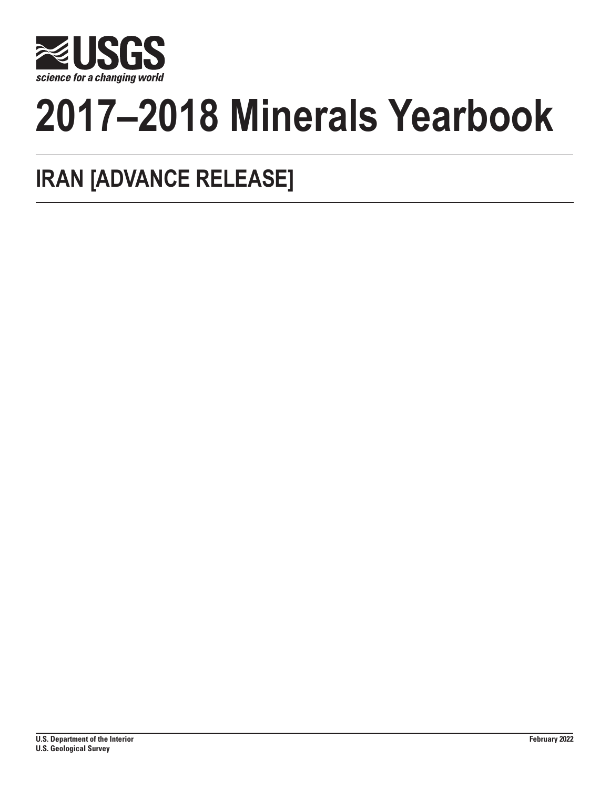

# **2017–2018 Minerals Yearbook**

# **IRAN [ADVANCE RELEASE]**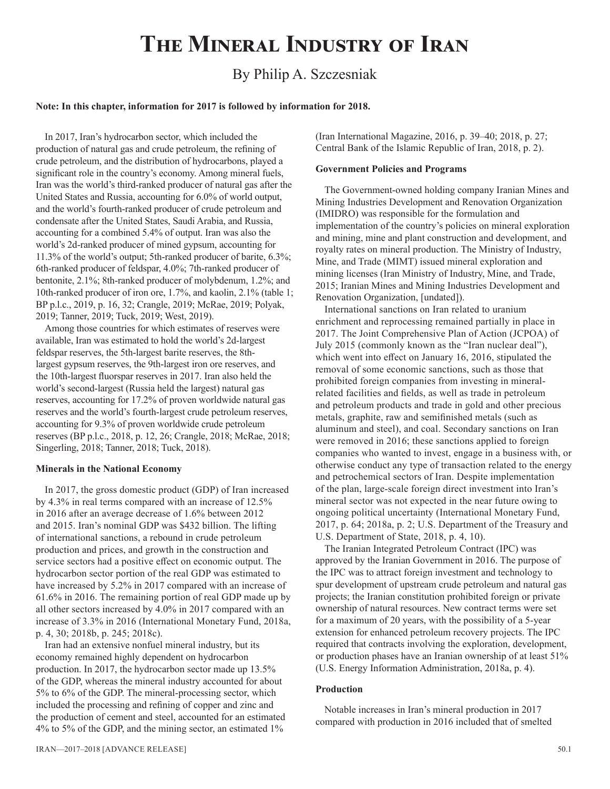# **The Mineral Industry of Iran**

# By Philip A. Szczesniak

## **Note: In this chapter, information for 2017 is followed by information for 2018.**

In 2017, Iran's hydrocarbon sector, which included the production of natural gas and crude petroleum, the refining of crude petroleum, and the distribution of hydrocarbons, played a significant role in the country's economy. Among mineral fuels, Iran was the world's third-ranked producer of natural gas after the United States and Russia, accounting for 6.0% of world output, and the world's fourth-ranked producer of crude petroleum and condensate after the United States, Saudi Arabia, and Russia, accounting for a combined 5.4% of output. Iran was also the world's 2d-ranked producer of mined gypsum, accounting for 11.3% of the world's output; 5th-ranked producer of barite, 6.3%; 6th-ranked producer of feldspar, 4.0%; 7th-ranked producer of bentonite, 2.1%; 8th-ranked producer of molybdenum, 1.2%; and 10th-ranked producer of iron ore, 1.7%, and kaolin, 2.1% (table 1; BP p.l.c., 2019, p. 16, 32; Crangle, 2019; McRae, 2019; Polyak, 2019; Tanner, 2019; Tuck, 2019; West, 2019).

Among those countries for which estimates of reserves were available, Iran was estimated to hold the world's 2d-largest feldspar reserves, the 5th-largest barite reserves, the 8thlargest gypsum reserves, the 9th-largest iron ore reserves, and the 10th-largest fluorspar reserves in 2017. Iran also held the world's second-largest (Russia held the largest) natural gas reserves, accounting for 17.2% of proven worldwide natural gas reserves and the world's fourth-largest crude petroleum reserves, accounting for 9.3% of proven worldwide crude petroleum reserves (BP p.l.c., 2018, p. 12, 26; Crangle, 2018; McRae, 2018; Singerling, 2018; Tanner, 2018; Tuck, 2018).

### **Minerals in the National Economy**

In 2017, the gross domestic product (GDP) of Iran increased by 4.3% in real terms compared with an increase of 12.5% in 2016 after an average decrease of 1.6% between 2012 and 2015. Iran's nominal GDP was \$432 billion. The lifting of international sanctions, a rebound in crude petroleum production and prices, and growth in the construction and service sectors had a positive effect on economic output. The hydrocarbon sector portion of the real GDP was estimated to have increased by 5.2% in 2017 compared with an increase of 61.6% in 2016. The remaining portion of real GDP made up by all other sectors increased by 4.0% in 2017 compared with an increase of 3.3% in 2016 (International Monetary Fund, 2018a, p. 4, 30; 2018b, p. 245; 2018c).

Iran had an extensive nonfuel mineral industry, but its economy remained highly dependent on hydrocarbon production. In 2017, the hydrocarbon sector made up 13.5% of the GDP, whereas the mineral industry accounted for about 5% to 6% of the GDP. The mineral-processing sector, which included the processing and refining of copper and zinc and the production of cement and steel, accounted for an estimated 4% to 5% of the GDP, and the mining sector, an estimated 1%

(Iran International Magazine, 2016, p. 39–40; 2018, p. 27; Central Bank of the Islamic Republic of Iran, 2018, p. 2).

# **Government Policies and Programs**

The Government-owned holding company Iranian Mines and Mining Industries Development and Renovation Organization (IMIDRO) was responsible for the formulation and implementation of the country's policies on mineral exploration and mining, mine and plant construction and development, and royalty rates on mineral production. The Ministry of Industry, Mine, and Trade (MIMT) issued mineral exploration and mining licenses (Iran Ministry of Industry, Mine, and Trade, 2015; Iranian Mines and Mining Industries Development and Renovation Organization, [undated]).

International sanctions on Iran related to uranium enrichment and reprocessing remained partially in place in 2017. The Joint Comprehensive Plan of Action (JCPOA) of July 2015 (commonly known as the "Iran nuclear deal"), which went into effect on January 16, 2016, stipulated the removal of some economic sanctions, such as those that prohibited foreign companies from investing in mineralrelated facilities and fields, as well as trade in petroleum and petroleum products and trade in gold and other precious metals, graphite, raw and semifinished metals (such as aluminum and steel), and coal. Secondary sanctions on Iran were removed in 2016; these sanctions applied to foreign companies who wanted to invest, engage in a business with, or otherwise conduct any type of transaction related to the energy and petrochemical sectors of Iran. Despite implementation of the plan, large-scale foreign direct investment into Iran's mineral sector was not expected in the near future owing to ongoing political uncertainty (International Monetary Fund, 2017, p. 64; 2018a, p. 2; U.S. Department of the Treasury and U.S. Department of State, 2018, p. 4, 10).

The Iranian Integrated Petroleum Contract (IPC) was approved by the Iranian Government in 2016. The purpose of the IPC was to attract foreign investment and technology to spur development of upstream crude petroleum and natural gas projects; the Iranian constitution prohibited foreign or private ownership of natural resources. New contract terms were set for a maximum of 20 years, with the possibility of a 5-year extension for enhanced petroleum recovery projects. The IPC required that contracts involving the exploration, development, or production phases have an Iranian ownership of at least 51% (U.S. Energy Information Administration, 2018a, p. 4).

### **Production**

Notable increases in Iran's mineral production in 2017 compared with production in 2016 included that of smelted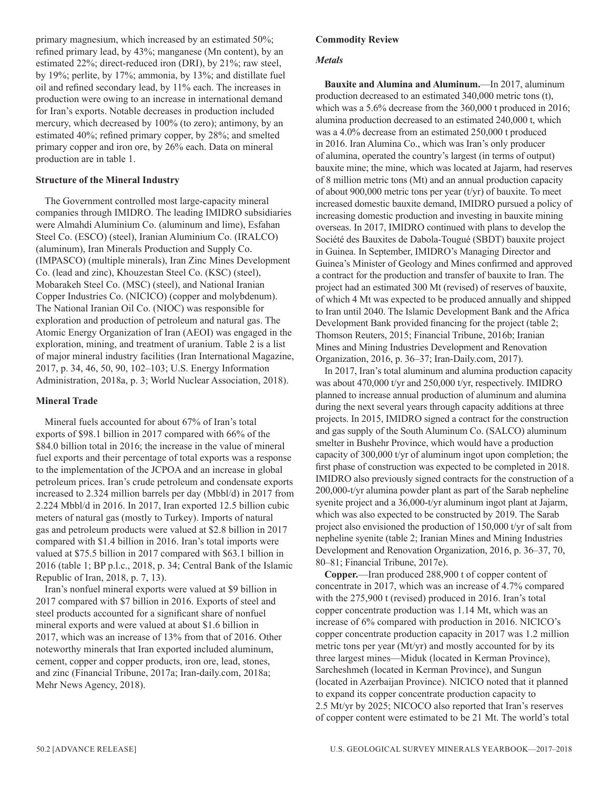primary magnesium, which increased by an estimated 50%; refined primary lead, by 43%; manganese (Mn content), by an estimated 22%; direct-reduced iron (DRI), by 21%; raw steel, by 19%; perlite, by 17%; ammonia, by 13%; and distillate fuel oil and refined secondary lead, by 11% each. The increases in production were owing to an increase in international demand for Iran's exports. Notable decreases in production included mercury, which decreased by 100% (to zero); antimony, by an estimated 40%; refined primary copper, by 28%; and smelted primary copper and iron ore, by 26% each. Data on mineral production are in table 1.

# **Structure of the Mineral Industry**

The Government controlled most large-capacity mineral companies through IMIDRO. The leading IMIDRO subsidiaries were Almahdi Aluminium Co. (aluminum and lime), Esfahan Steel Co. (ESCO) (steel), Iranian Aluminium Co. (IRALCO) (aluminum), Iran Minerals Production and Supply Co. (IMPASCO) (multiple minerals), Iran Zinc Mines Development Co. (lead and zinc), Khouzestan Steel Co. (KSC) (steel), Mobarakeh Steel Co. (MSC) (steel), and National Iranian Copper Industries Co. (NICICO) (copper and molybdenum). The National Iranian Oil Co. (NIOC) was responsible for exploration and production of petroleum and natural gas. The Atomic Energy Organization of Iran (AEOI) was engaged in the exploration, mining, and treatment of uranium. Table 2 is a list of major mineral industry facilities (Iran International Magazine, 2017, p. 34, 46, 50, 90, 102–103; U.S. Energy Information Administration, 2018a, p. 3; World Nuclear Association, 2018).

# **Mineral Trade**

Mineral fuels accounted for about 67% of Iran's total exports of \$98.1 billion in 2017 compared with 66% of the \$84.0 billion total in 2016; the increase in the value of mineral fuel exports and their percentage of total exports was a response to the implementation of the JCPOA and an increase in global petroleum prices. Iran's crude petroleum and condensate exports increased to 2.324 million barrels per day (Mbbl/d) in 2017 from 2.224 Mbbl/d in 2016. In 2017, Iran exported 12.5 billion cubic meters of natural gas (mostly to Turkey). Imports of natural gas and petroleum products were valued at \$2.8 billion in 2017 compared with \$1.4 billion in 2016. Iran's total imports were valued at \$75.5 billion in 2017 compared with \$63.1 billion in 2016 (table 1; BP p.l.c., 2018, p. 34; Central Bank of the Islamic Republic of Iran, 2018, p. 7, 13).

Iran's nonfuel mineral exports were valued at \$9 billion in 2017 compared with \$7 billion in 2016. Exports of steel and steel products accounted for a significant share of nonfuel mineral exports and were valued at about \$1.6 billion in 2017, which was an increase of 13% from that of 2016. Other noteworthy minerals that Iran exported included aluminum, cement, copper and copper products, iron ore, lead, stones, and zinc (Financial Tribune, 2017a; Iran-daily.com, 2018a; Mehr News Agency, 2018).

# **Commodity Review**

## *Metals*

**Bauxite and Alumina and Aluminum.**—In 2017, aluminum production decreased to an estimated 340,000 metric tons (t), which was a 5.6% decrease from the 360,000 t produced in 2016; alumina production decreased to an estimated 240,000 t, which was a 4.0% decrease from an estimated 250,000 t produced in 2016. Iran Alumina Co., which was Iran's only producer of alumina, operated the country's largest (in terms of output) bauxite mine; the mine, which was located at Jajarm, had reserves of 8 million metric tons (Mt) and an annual production capacity of about 900,000 metric tons per year (t/yr) of bauxite. To meet increased domestic bauxite demand, IMIDRO pursued a policy of increasing domestic production and investing in bauxite mining overseas. In 2017, IMIDRO continued with plans to develop the Société des Bauxites de Dabola-Tougué (SBDT) bauxite project in Guinea. In September, IMIDRO's Managing Director and Guinea's Minister of Geology and Mines confirmed and approved a contract for the production and transfer of bauxite to Iran. The project had an estimated 300 Mt (revised) of reserves of bauxite, of which 4 Mt was expected to be produced annually and shipped to Iran until 2040. The Islamic Development Bank and the Africa Development Bank provided financing for the project (table 2; Thomson Reuters, 2015; Financial Tribune, 2016b; Iranian Mines and Mining Industries Development and Renovation Organization, 2016, p. 36–37; Iran-Daily.com, 2017).

In 2017, Iran's total aluminum and alumina production capacity was about 470,000 t/yr and 250,000 t/yr, respectively. IMIDRO planned to increase annual production of aluminum and alumina during the next several years through capacity additions at three projects. In 2015, IMIDRO signed a contract for the construction and gas supply of the South Aluminum Co. (SALCO) aluminum smelter in Bushehr Province, which would have a production capacity of 300,000 t/yr of aluminum ingot upon completion; the first phase of construction was expected to be completed in 2018. IMIDRO also previously signed contracts for the construction of a 200,000-t/yr alumina powder plant as part of the Sarab nepheline syenite project and a 36,000-t/yr aluminum ingot plant at Jajarm, which was also expected to be constructed by 2019. The Sarab project also envisioned the production of 150,000 t/yr of salt from nepheline syenite (table 2; Iranian Mines and Mining Industries Development and Renovation Organization, 2016, p. 36–37, 70, 80–81; Financial Tribune, 2017e).

**Copper.**—Iran produced 288,900 t of copper content of concentrate in 2017, which was an increase of 4.7% compared with the 275,900 t (revised) produced in 2016. Iran's total copper concentrate production was 1.14 Mt, which was an increase of 6% compared with production in 2016. NICICO's copper concentrate production capacity in 2017 was 1.2 million metric tons per year (Mt/yr) and mostly accounted for by its three largest mines—Miduk (located in Kerman Province), Sarcheshmeh (located in Kerman Province), and Sungun (located in Azerbaijan Province). NICICO noted that it planned to expand its copper concentrate production capacity to 2.5 Mt/yr by 2025; NICOCO also reported that Iran's reserves of copper content were estimated to be 21 Mt. The world's total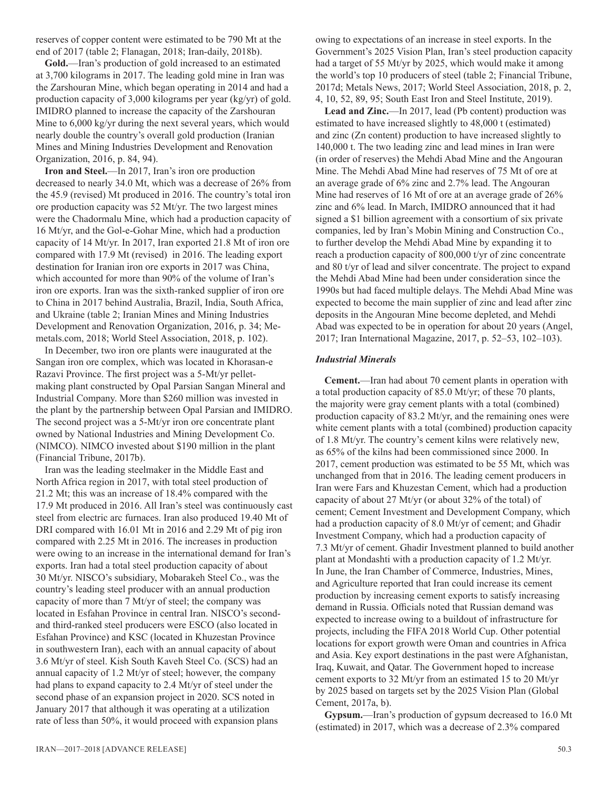reserves of copper content were estimated to be 790 Mt at the end of 2017 (table 2; Flanagan, 2018; Iran-daily, 2018b).

**Gold.**—Iran's production of gold increased to an estimated at 3,700 kilograms in 2017. The leading gold mine in Iran was the Zarshouran Mine, which began operating in 2014 and had a production capacity of 3,000 kilograms per year (kg/yr) of gold. IMIDRO planned to increase the capacity of the Zarshouran Mine to 6,000 kg/yr during the next several years, which would nearly double the country's overall gold production (Iranian Mines and Mining Industries Development and Renovation Organization, 2016, p. 84, 94).

**Iron and Steel.**—In 2017, Iran's iron ore production decreased to nearly 34.0 Mt, which was a decrease of 26% from the 45.9 (revised) Mt produced in 2016. The country's total iron ore production capacity was 52 Mt/yr. The two largest mines were the Chadormalu Mine, which had a production capacity of 16 Mt/yr, and the Gol-e-Gohar Mine, which had a production capacity of 14 Mt/yr. In 2017, Iran exported 21.8 Mt of iron ore compared with 17.9 Mt (revised) in 2016. The leading export destination for Iranian iron ore exports in 2017 was China, which accounted for more than 90% of the volume of Iran's iron ore exports. Iran was the sixth-ranked supplier of iron ore to China in 2017 behind Australia, Brazil, India, South Africa, and Ukraine (table 2; Iranian Mines and Mining Industries Development and Renovation Organization, 2016, p. 34; Memetals.com, 2018; World Steel Association, 2018, p. 102).

In December, two iron ore plants were inaugurated at the Sangan iron ore complex, which was located in Khorasan-e Razavi Province. The first project was a 5-Mt/yr pelletmaking plant constructed by Opal Parsian Sangan Mineral and Industrial Company. More than \$260 million was invested in the plant by the partnership between Opal Parsian and IMIDRO. The second project was a 5-Mt/yr iron ore concentrate plant owned by National Industries and Mining Development Co. (NIMCO). NIMCO invested about \$190 million in the plant (Financial Tribune, 2017b).

Iran was the leading steelmaker in the Middle East and North Africa region in 2017, with total steel production of 21.2 Mt; this was an increase of 18.4% compared with the 17.9 Mt produced in 2016. All Iran's steel was continuously cast steel from electric arc furnaces. Iran also produced 19.40 Mt of DRI compared with 16.01 Mt in 2016 and 2.29 Mt of pig iron compared with 2.25 Mt in 2016. The increases in production were owing to an increase in the international demand for Iran's exports. Iran had a total steel production capacity of about 30 Mt/yr. NISCO's subsidiary, Mobarakeh Steel Co., was the country's leading steel producer with an annual production capacity of more than 7 Mt/yr of steel; the company was located in Esfahan Province in central Iran. NISCO's secondand third-ranked steel producers were ESCO (also located in Esfahan Province) and KSC (located in Khuzestan Province in southwestern Iran), each with an annual capacity of about 3.6 Mt/yr of steel. Kish South Kaveh Steel Co. (SCS) had an annual capacity of 1.2 Mt/yr of steel; however, the company had plans to expand capacity to 2.4 Mt/yr of steel under the second phase of an expansion project in 2020. SCS noted in January 2017 that although it was operating at a utilization rate of less than 50%, it would proceed with expansion plans

owing to expectations of an increase in steel exports. In the Government's 2025 Vision Plan, Iran's steel production capacity had a target of 55 Mt/yr by 2025, which would make it among the world's top 10 producers of steel (table 2; Financial Tribune, 2017d; Metals News, 2017; World Steel Association, 2018, p. 2, 4, 10, 52, 89, 95; South East Iron and Steel Institute, 2019).

Lead and Zinc.—In 2017, lead (Pb content) production was estimated to have increased slightly to 48,000 t (estimated) and zinc (Zn content) production to have increased slightly to 140,000 t. The two leading zinc and lead mines in Iran were (in order of reserves) the Mehdi Abad Mine and the Angouran Mine. The Mehdi Abad Mine had reserves of 75 Mt of ore at an average grade of 6% zinc and 2.7% lead. The Angouran Mine had reserves of 16 Mt of ore at an average grade of 26% zinc and 6% lead. In March, IMIDRO announced that it had signed a \$1 billion agreement with a consortium of six private companies, led by Iran's Mobin Mining and Construction Co., to further develop the Mehdi Abad Mine by expanding it to reach a production capacity of 800,000 t/yr of zinc concentrate and 80 t/yr of lead and silver concentrate. The project to expand the Mehdi Abad Mine had been under consideration since the 1990s but had faced multiple delays. The Mehdi Abad Mine was expected to become the main supplier of zinc and lead after zinc deposits in the Angouran Mine become depleted, and Mehdi Abad was expected to be in operation for about 20 years (Angel, 2017; Iran International Magazine, 2017, p. 52–53, 102–103).

## *Industrial Minerals*

**Cement.**—Iran had about 70 cement plants in operation with a total production capacity of 85.0 Mt/yr; of these 70 plants, the majority were gray cement plants with a total (combined) production capacity of 83.2 Mt/yr, and the remaining ones were white cement plants with a total (combined) production capacity of 1.8 Mt/yr. The country's cement kilns were relatively new, as 65% of the kilns had been commissioned since 2000. In 2017, cement production was estimated to be 55 Mt, which was unchanged from that in 2016. The leading cement producers in Iran were Fars and Khuzestan Cement, which had a production capacity of about 27 Mt/yr (or about 32% of the total) of cement; Cement Investment and Development Company, which had a production capacity of 8.0 Mt/yr of cement; and Ghadir Investment Company, which had a production capacity of 7.3 Mt/yr of cement. Ghadir Investment planned to build another plant at Mondashti with a production capacity of 1.2 Mt/yr. In June, the Iran Chamber of Commerce, Industries, Mines, and Agriculture reported that Iran could increase its cement production by increasing cement exports to satisfy increasing demand in Russia. Officials noted that Russian demand was expected to increase owing to a buildout of infrastructure for projects, including the FIFA 2018 World Cup. Other potential locations for export growth were Oman and countries in Africa and Asia. Key export destinations in the past were Afghanistan, Iraq, Kuwait, and Qatar. The Government hoped to increase cement exports to 32 Mt/yr from an estimated 15 to 20 Mt/yr by 2025 based on targets set by the 2025 Vision Plan (Global Cement, 2017a, b).

**Gypsum.**—Iran's production of gypsum decreased to 16.0 Mt (estimated) in 2017, which was a decrease of 2.3% compared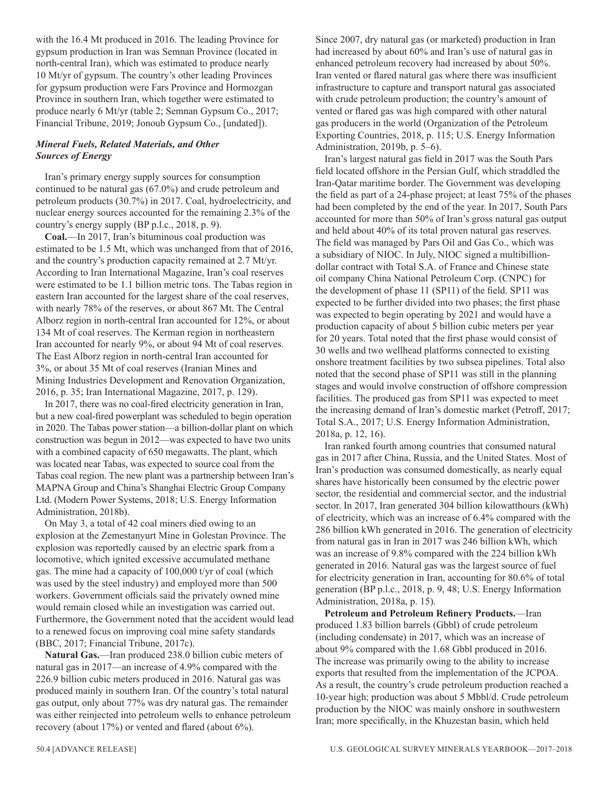with the 16.4 Mt produced in 2016. The leading Province for gypsum production in Iran was Semnan Province (located in north-central Iran), which was estimated to produce nearly 10 Mt/yr of gypsum. The country's other leading Provinces for gypsum production were Fars Province and Hormozgan Province in southern Iran, which together were estimated to produce nearly 6 Mt/yr (table 2; Semnan Gypsum Co., 2017; Financial Tribune, 2019; Jonoub Gypsum Co., [undated]).

# *Mineral Fuels, Related Materials, and Other Sources of Energy*

Iran's primary energy supply sources for consumption continued to be natural gas (67.0%) and crude petroleum and petroleum products (30.7%) in 2017. Coal, hydroelectricity, and nuclear energy sources accounted for the remaining 2.3% of the country's energy supply (BP p.l.c., 2018, p. 9).

**Coal.**—In 2017, Iran's bituminous coal production was estimated to be 1.5 Mt, which was unchanged from that of 2016, and the country's production capacity remained at 2.7 Mt/yr. According to Iran International Magazine, Iran's coal reserves were estimated to be 1.1 billion metric tons. The Tabas region in eastern Iran accounted for the largest share of the coal reserves, with nearly 78% of the reserves, or about 867 Mt. The Central Alborz region in north-central Iran accounted for 12%, or about 134 Mt of coal reserves. The Kerman region in northeastern Iran accounted for nearly 9%, or about 94 Mt of coal reserves. The East Alborz region in north-central Iran accounted for 3%, or about 35 Mt of coal reserves (Iranian Mines and Mining Industries Development and Renovation Organization, 2016, p. 35; Iran International Magazine, 2017, p. 129).

In 2017, there was no coal-fired electricity generation in Iran, but a new coal-fired powerplant was scheduled to begin operation in 2020. The Tabas power station—a billion-dollar plant on which construction was begun in 2012—was expected to have two units with a combined capacity of 650 megawatts. The plant, which was located near Tabas, was expected to source coal from the Tabas coal region. The new plant was a partnership between Iran's MAPNA Group and China's Shanghai Electric Group Company Ltd. (Modern Power Systems, 2018; U.S. Energy Information Administration, 2018b).

On May 3, a total of 42 coal miners died owing to an explosion at the Zemestanyurt Mine in Golestan Province. The explosion was reportedly caused by an electric spark from a locomotive, which ignited excessive accumulated methane gas. The mine had a capacity of 100,000 t/yr of coal (which was used by the steel industry) and employed more than 500 workers. Government officials said the privately owned mine would remain closed while an investigation was carried out. Furthermore, the Government noted that the accident would lead to a renewed focus on improving coal mine safety standards (BBC, 2017; Financial Tribune, 2017c).

**Natural Gas.**—Iran produced 238.0 billion cubic meters of natural gas in 2017—an increase of 4.9% compared with the 226.9 billion cubic meters produced in 2016. Natural gas was produced mainly in southern Iran. Of the country's total natural gas output, only about 77% was dry natural gas. The remainder was either reinjected into petroleum wells to enhance petroleum recovery (about 17%) or vented and flared (about 6%).

Since 2007, dry natural gas (or marketed) production in Iran had increased by about 60% and Iran's use of natural gas in enhanced petroleum recovery had increased by about 50%. Iran vented or flared natural gas where there was insufficient infrastructure to capture and transport natural gas associated with crude petroleum production; the country's amount of vented or flared gas was high compared with other natural gas producers in the world (Organization of the Petroleum Exporting Countries, 2018, p. 115; U.S. Energy Information Administration, 2019b, p. 5–6).

Iran's largest natural gas field in 2017 was the South Pars field located offshore in the Persian Gulf, which straddled the Iran-Qatar maritime border. The Government was developing the field as part of a 24-phase project; at least 75% of the phases had been completed by the end of the year. In 2017, South Pars accounted for more than 50% of Iran's gross natural gas output and held about 40% of its total proven natural gas reserves. The field was managed by Pars Oil and Gas Co., which was a subsidiary of NIOC. In July, NIOC signed a multibilliondollar contract with Total S.A. of France and Chinese state oil company China National Petroleum Corp. (CNPC) for the development of phase 11 (SP11) of the field. SP11 was expected to be further divided into two phases; the first phase was expected to begin operating by 2021 and would have a production capacity of about 5 billion cubic meters per year for 20 years. Total noted that the first phase would consist of 30 wells and two wellhead platforms connected to existing onshore treatment facilities by two subsea pipelines. Total also noted that the second phase of SP11 was still in the planning stages and would involve construction of offshore compression facilities. The produced gas from SP11 was expected to meet the increasing demand of Iran's domestic market (Petroff, 2017; Total S.A., 2017; U.S. Energy Information Administration, 2018a, p. 12, 16).

Iran ranked fourth among countries that consumed natural gas in 2017 after China, Russia, and the United States. Most of Iran's production was consumed domestically, as nearly equal shares have historically been consumed by the electric power sector, the residential and commercial sector, and the industrial sector. In 2017, Iran generated 304 billion kilowatthours (kWh) of electricity, which was an increase of 6.4% compared with the 286 billion kWh generated in 2016. The generation of electricity from natural gas in Iran in 2017 was 246 billion kWh, which was an increase of 9.8% compared with the 224 billion kWh generated in 2016. Natural gas was the largest source of fuel for electricity generation in Iran, accounting for 80.6% of total generation (BP p.l.c., 2018, p. 9, 48; U.S. Energy Information Administration, 2018a, p. 15).

**Petroleum and Petroleum Refinery Products.**—Iran produced 1.83 billion barrels (Gbbl) of crude petroleum (including condensate) in 2017, which was an increase of about 9% compared with the 1.68 Gbbl produced in 2016. The increase was primarily owing to the ability to increase exports that resulted from the implementation of the JCPOA. As a result, the country's crude petroleum production reached a 10-year high; production was about 5 Mbbl/d. Crude petroleum production by the NIOC was mainly onshore in southwestern Iran; more specifically, in the Khuzestan basin, which held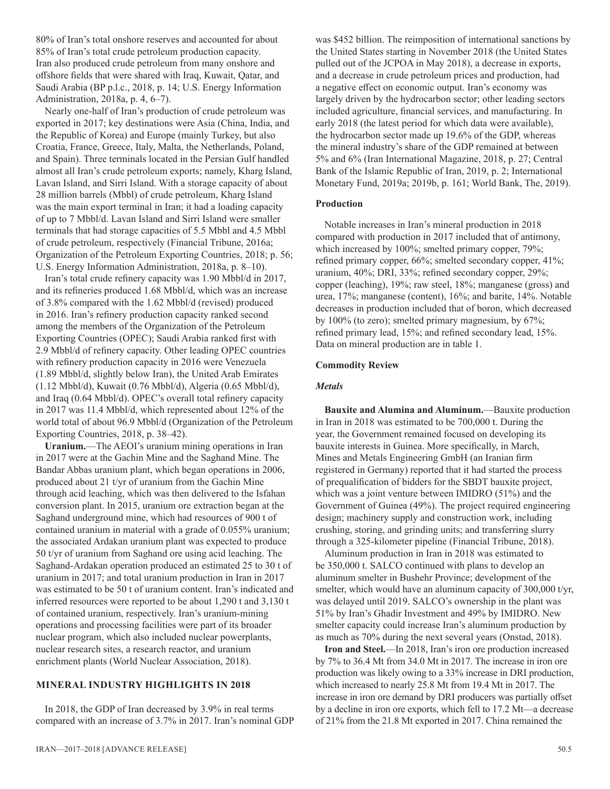80% of Iran's total onshore reserves and accounted for about 85% of Iran's total crude petroleum production capacity. Iran also produced crude petroleum from many onshore and offshore fields that were shared with Iraq, Kuwait, Qatar, and Saudi Arabia (BP p.l.c., 2018, p. 14; U.S. Energy Information Administration, 2018a, p. 4, 6–7).

Nearly one-half of Iran's production of crude petroleum was exported in 2017; key destinations were Asia (China, India, and the Republic of Korea) and Europe (mainly Turkey, but also Croatia, France, Greece, Italy, Malta, the Netherlands, Poland, and Spain). Three terminals located in the Persian Gulf handled almost all Iran's crude petroleum exports; namely, Kharg Island, Lavan Island, and Sirri Island. With a storage capacity of about 28 million barrels (Mbbl) of crude petroleum, Kharg Island was the main export terminal in Iran; it had a loading capacity of up to 7 Mbbl/d. Lavan Island and Sirri Island were smaller terminals that had storage capacities of 5.5 Mbbl and 4.5 Mbbl of crude petroleum, respectively (Financial Tribune, 2016a; Organization of the Petroleum Exporting Countries, 2018; p. 56; U.S. Energy Information Administration, 2018a, p. 8–10).

Iran's total crude refinery capacity was 1.90 Mbbl/d in 2017, and its refineries produced 1.68 Mbbl/d, which was an increase of 3.8% compared with the 1.62 Mbbl/d (revised) produced in 2016. Iran's refinery production capacity ranked second among the members of the Organization of the Petroleum Exporting Countries (OPEC); Saudi Arabia ranked first with 2.9 Mbbl/d of refinery capacity. Other leading OPEC countries with refinery production capacity in 2016 were Venezuela (1.89 Mbbl/d, slightly below Iran), the United Arab Emirates (1.12 Mbbl/d), Kuwait (0.76 Mbbl/d), Algeria (0.65 Mbbl/d), and Iraq (0.64 Mbbl/d). OPEC's overall total refinery capacity in 2017 was 11.4 Mbbl/d, which represented about 12% of the world total of about 96.9 Mbbl/d (Organization of the Petroleum Exporting Countries, 2018, p. 38–42).

**Uranium.**—The AEOI's uranium mining operations in Iran in 2017 were at the Gachin Mine and the Saghand Mine. The Bandar Abbas uranium plant, which began operations in 2006, produced about 21 t/yr of uranium from the Gachin Mine through acid leaching, which was then delivered to the Isfahan conversion plant. In 2015, uranium ore extraction began at the Saghand underground mine, which had resources of 900 t of contained uranium in material with a grade of 0.055% uranium; the associated Ardakan uranium plant was expected to produce 50 t/yr of uranium from Saghand ore using acid leaching. The Saghand-Ardakan operation produced an estimated 25 to 30 t of uranium in 2017; and total uranium production in Iran in 2017 was estimated to be 50 t of uranium content. Iran's indicated and inferred resources were reported to be about 1,290 t and 3,130 t of contained uranium, respectively. Iran's uranium-mining operations and processing facilities were part of its broader nuclear program, which also included nuclear powerplants, nuclear research sites, a research reactor, and uranium enrichment plants (World Nuclear Association, 2018).

# **MINERAL INDUSTRY HIGHLIGHTS IN 2018**

In 2018, the GDP of Iran decreased by 3.9% in real terms compared with an increase of 3.7% in 2017. Iran's nominal GDP was \$452 billion. The reimposition of international sanctions by the United States starting in November 2018 (the United States pulled out of the JCPOA in May 2018), a decrease in exports, and a decrease in crude petroleum prices and production, had a negative effect on economic output. Iran's economy was largely driven by the hydrocarbon sector; other leading sectors included agriculture, financial services, and manufacturing. In early 2018 (the latest period for which data were available), the hydrocarbon sector made up 19.6% of the GDP, whereas the mineral industry's share of the GDP remained at between 5% and 6% (Iran International Magazine, 2018, p. 27; Central Bank of the Islamic Republic of Iran, 2019, p. 2; International Monetary Fund, 2019a; 2019b, p. 161; World Bank, The, 2019).

### **Production**

Notable increases in Iran's mineral production in 2018 compared with production in 2017 included that of antimony, which increased by 100%; smelted primary copper, 79%; refined primary copper, 66%; smelted secondary copper, 41%; uranium, 40%; DRI, 33%; refined secondary copper, 29%; copper (leaching), 19%; raw steel, 18%; manganese (gross) and urea, 17%; manganese (content), 16%; and barite, 14%. Notable decreases in production included that of boron, which decreased by 100% (to zero); smelted primary magnesium, by 67%; refined primary lead, 15%; and refined secondary lead, 15%. Data on mineral production are in table 1.

#### **Commodity Review**

#### *Metals*

**Bauxite and Alumina and Aluminum.**—Bauxite production in Iran in 2018 was estimated to be 700,000 t. During the year, the Government remained focused on developing its bauxite interests in Guinea. More specifically, in March, Mines and Metals Engineering GmbH (an Iranian firm registered in Germany) reported that it had started the process of prequalification of bidders for the SBDT bauxite project, which was a joint venture between IMIDRO (51%) and the Government of Guinea (49%). The project required engineering design; machinery supply and construction work, including crushing, storing, and grinding units; and transferring slurry through a 325-kilometer pipeline (Financial Tribune, 2018).

Aluminum production in Iran in 2018 was estimated to be 350,000 t. SALCO continued with plans to develop an aluminum smelter in Bushehr Province; development of the smelter, which would have an aluminum capacity of 300,000 t/yr, was delayed until 2019. SALCO's ownership in the plant was 51% by Iran's Ghadir Investment and 49% by IMIDRO. New smelter capacity could increase Iran's aluminum production by as much as 70% during the next several years (Onstad, 2018).

**Iron and Steel.**—In 2018, Iran's iron ore production increased by 7% to 36.4 Mt from 34.0 Mt in 2017. The increase in iron ore production was likely owing to a 33% increase in DRI production, which increased to nearly 25.8 Mt from 19.4 Mt in 2017. The increase in iron ore demand by DRI producers was partially offset by a decline in iron ore exports, which fell to 17.2 Mt—a decrease of 21% from the 21.8 Mt exported in 2017. China remained the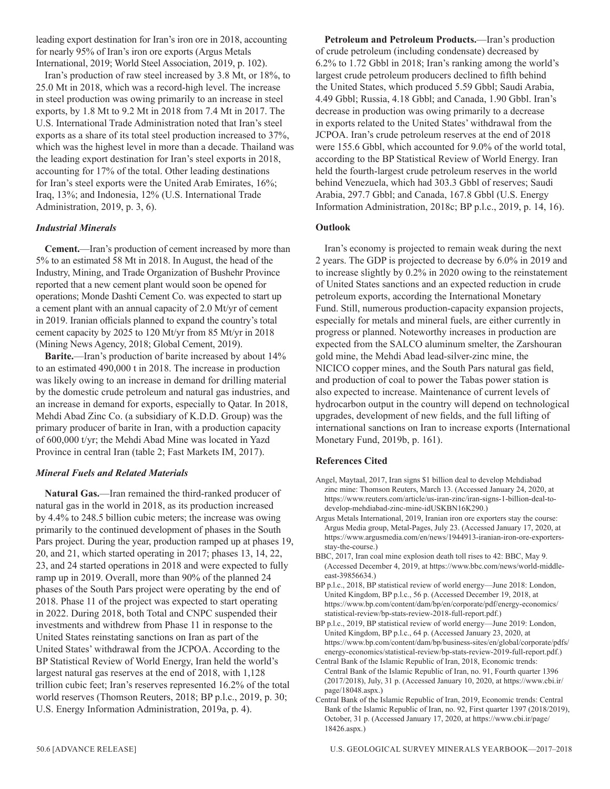leading export destination for Iran's iron ore in 2018, accounting for nearly 95% of Iran's iron ore exports (Argus Metals International, 2019; World Steel Association, 2019, p. 102).

Iran's production of raw steel increased by 3.8 Mt, or 18%, to 25.0 Mt in 2018, which was a record-high level. The increase in steel production was owing primarily to an increase in steel exports, by 1.8 Mt to 9.2 Mt in 2018 from 7.4 Mt in 2017. The U.S. International Trade Administration noted that Iran's steel exports as a share of its total steel production increased to 37%, which was the highest level in more than a decade. Thailand was the leading export destination for Iran's steel exports in 2018, accounting for 17% of the total. Other leading destinations for Iran's steel exports were the United Arab Emirates, 16%; Iraq, 13%; and Indonesia, 12% (U.S. International Trade Administration, 2019, p. 3, 6).

# *Industrial Minerals*

**Cement.**—Iran's production of cement increased by more than 5% to an estimated 58 Mt in 2018. In August, the head of the Industry, Mining, and Trade Organization of Bushehr Province reported that a new cement plant would soon be opened for operations; Monde Dashti Cement Co. was expected to start up a cement plant with an annual capacity of 2.0 Mt/yr of cement in 2019. Iranian officials planned to expand the country's total cement capacity by 2025 to 120 Mt/yr from 85 Mt/yr in 2018 (Mining News Agency, 2018; Global Cement, 2019).

**Barite.**—Iran's production of barite increased by about 14% to an estimated 490,000 t in 2018. The increase in production was likely owing to an increase in demand for drilling material by the domestic crude petroleum and natural gas industries, and an increase in demand for exports, especially to Qatar. In 2018, Mehdi Abad Zinc Co. (a subsidiary of K.D.D. Group) was the primary producer of barite in Iran, with a production capacity of 600,000 t/yr; the Mehdi Abad Mine was located in Yazd Province in central Iran (table 2; Fast Markets IM, 2017).

# *Mineral Fuels and Related Materials*

**Natural Gas.**—Iran remained the third-ranked producer of natural gas in the world in 2018, as its production increased by 4.4% to 248.5 billion cubic meters; the increase was owing primarily to the continued development of phases in the South Pars project. During the year, production ramped up at phases 19, 20, and 21, which started operating in 2017; phases 13, 14, 22, 23, and 24 started operations in 2018 and were expected to fully ramp up in 2019. Overall, more than 90% of the planned 24 phases of the South Pars project were operating by the end of 2018. Phase 11 of the project was expected to start operating in 2022. During 2018, both Total and CNPC suspended their investments and withdrew from Phase 11 in response to the United States reinstating sanctions on Iran as part of the United States' withdrawal from the JCPOA. According to the BP Statistical Review of World Energy, Iran held the world's largest natural gas reserves at the end of 2018, with 1,128 trillion cubic feet; Iran's reserves represented 16.2% of the total world reserves (Thomson Reuters, 2018; BP p.l.c., 2019, p. 30; U.S. Energy Information Administration, 2019a, p. 4).

**Petroleum and Petroleum Products.**—Iran's production of crude petroleum (including condensate) decreased by 6.2% to 1.72 Gbbl in 2018; Iran's ranking among the world's largest crude petroleum producers declined to fifth behind the United States, which produced 5.59 Gbbl; Saudi Arabia, 4.49 Gbbl; Russia, 4.18 Gbbl; and Canada, 1.90 Gbbl. Iran's decrease in production was owing primarily to a decrease in exports related to the United States' withdrawal from the JCPOA. Iran's crude petroleum reserves at the end of 2018 were 155.6 Gbbl, which accounted for 9.0% of the world total, according to the BP Statistical Review of World Energy. Iran held the fourth-largest crude petroleum reserves in the world behind Venezuela, which had 303.3 Gbbl of reserves; Saudi Arabia, 297.7 Gbbl; and Canada, 167.8 Gbbl (U.S. Energy Information Administration, 2018c; BP p.l.c., 2019, p. 14, 16).

# **Outlook**

Iran's economy is projected to remain weak during the next 2 years. The GDP is projected to decrease by 6.0% in 2019 and to increase slightly by 0.2% in 2020 owing to the reinstatement of United States sanctions and an expected reduction in crude petroleum exports, according the International Monetary Fund. Still, numerous production-capacity expansion projects, especially for metals and mineral fuels, are either currently in progress or planned. Noteworthy increases in production are expected from the SALCO aluminum smelter, the Zarshouran gold mine, the Mehdi Abad lead-silver-zinc mine, the NICICO copper mines, and the South Pars natural gas field, and production of coal to power the Tabas power station is also expected to increase. Maintenance of current levels of hydrocarbon output in the country will depend on technological upgrades, development of new fields, and the full lifting of international sanctions on Iran to increase exports (International Monetary Fund, 2019b, p. 161).

# **References Cited**

- Angel, Maytaal, 2017, Iran signs \$1 billion deal to develop Mehdiabad zinc mine: Thomson Reuters, March 13. (Accessed January 24, 2020, at https://www.reuters.com/article/us-iran-zinc/iran-signs-1-billion-deal-todevelop-mehdiabad-zinc-mine-idUSKBN16K290.)
- Argus Metals International, 2019, Iranian iron ore exporters stay the course: Argus Media group, Metal-Pages, July 23. (Accessed January 17, 2020, at https://www.argusmedia.com/en/news/1944913-iranian-iron-ore-exportersstay-the-course.)
- BBC, 2017, Iran coal mine explosion death toll rises to 42: BBC, May 9. (Accessed December 4, 2019, at https://www.bbc.com/news/world-middleeast-39856634.)
- BP p.l.c., 2018, BP statistical review of world energy—June 2018: London, United Kingdom, BP p.l.c., 56 p. (Accessed December 19, 2018, at https://www.bp.com/content/dam/bp/en/corporate/pdf/energy-economics/ statistical-review/bp-stats-review-2018-full-report.pdf.)
- BP p.l.c., 2019, BP statistical review of world energy—June 2019: London, United Kingdom, BP p.l.c., 64 p. (Accessed January 23, 2020, at https://www.bp.com/content/dam/bp/business-sites/en/global/corporate/pdfs/ energy-economics/statistical-review/bp-stats-review-2019-full-report.pdf.)
- Central Bank of the Islamic Republic of Iran, 2018, Economic trends: Central Bank of the Islamic Republic of Iran, no. 91, Fourth quarter 1396 (2017/2018), July, 31 p. (Accessed January 10, 2020, at https://www.cbi.ir/ page/18048.aspx.)
- Central Bank of the Islamic Republic of Iran, 2019, Economic trends: Central Bank of the Islamic Republic of Iran, no. 92, First quarter 1397 (2018/2019), October, 31 p. (Accessed January 17, 2020, at https://www.cbi.ir/page/ 18426.aspx.)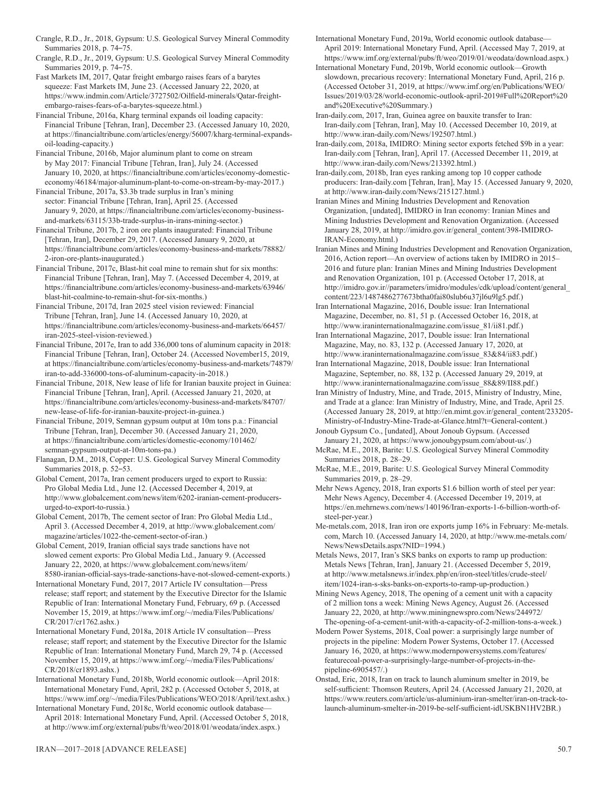Crangle, R.D., Jr., 2018, Gypsum: U.S. Geological Survey Mineral Commodity Summaries 2018, p. 74–75.

Crangle, R.D., Jr., 2019, Gypsum: U.S. Geological Survey Mineral Commodity Summaries 2019, p. 74–75.

Fast Markets IM, 2017, Qatar freight embargo raises fears of a barytes squeeze: Fast Markets IM, June 23. (Accessed January 22, 2020, at https://www.indmin.com/Article/3727502/Oilfield-minerals/Qatar-freightembargo-raises-fears-of-a-barytes-squeeze.html.)

Financial Tribune, 2016a, Kharg terminal expands oil loading capacity: Financial Tribune [Tehran, Iran], December 23. (Accessed January 10, 2020, at https://financialtribune.com/articles/energy/56007/kharg-terminal-expandsoil-loading-capacity.)

- Financial Tribune, 2016b, Major aluminum plant to come on stream by May 2017: Financial Tribune [Tehran, Iran], July 24. (Accessed January 10, 2020, at https://financialtribune.com/articles/economy-domesticeconomy/46184/major-aluminum-plant-to-come-on-stream-by-may-2017.)
- Financial Tribune, 2017a, \$3.3b trade surplus in Iran's mining sector: Financial Tribune [Tehran, Iran], April 25. (Accessed January 9, 2020, at https://financialtribune.com/articles/economy-businessand-markets/63115/33b-trade-surplus-in-irans-mining-sector.)

Financial Tribune, 2017b, 2 iron ore plants inaugurated: Financial Tribune [Tehran, Iran], December 29, 2017. (Accessed January 9, 2020, at https://financialtribune.com/articles/economy-business-and-markets/78882/ 2-iron-ore-plants-inaugurated.)

Financial Tribune, 2017c, Blast-hit coal mine to remain shut for six months: Financial Tribune [Tehran, Iran], May 7. (Accessed December 4, 2019, at https://financialtribune.com/articles/economy-business-and-markets/63946/ blast-hit-coalmine-to-remain-shut-for-six-months.)

Financial Tribune, 2017d, Iran 2025 steel vision reviewed: Financial Tribune [Tehran, Iran], June 14. (Accessed January 10, 2020, at https://financialtribune.com/articles/economy-business-and-markets/66457/ iran-2025-steel-vision-reviewed.)

Financial Tribune, 2017e, Iran to add 336,000 tons of aluminum capacity in 2018: Financial Tribune [Tehran, Iran], October 24. (Accessed November15, 2019, at https://financialtribune.com/articles/economy-business-and-markets/74879/ iran-to-add-336000-tons-of-aluminum-capacity-in-2018.)

Financial Tribune, 2018, New lease of life for Iranian bauxite project in Guinea: Financial Tribune [Tehran, Iran], April. (Accessed January 21, 2020, at https://financialtribune.com/articles/economy-business-and-markets/84707/ new-lease-of-life-for-iranian-bauxite-project-in-guinea.)

Financial Tribune, 2019, Semnan gypsum output at 10m tons p.a.: Financial Tribune [Tehran, Iran], December 30. (Accessed January 21, 2020, at https://financialtribune.com/articles/domestic-economy/101462/ semnan-gypsum-output-at-10m-tons-pa.)

Flanagan, D.M., 2018, Copper: U.S. Geological Survey Mineral Commodity Summaries 2018, p. 52–53.

Global Cement, 2017a, Iran cement producers urged to export to Russia: Pro Global Media Ltd., June 12. (Accessed December 4, 2019, at http://www.globalcement.com/news/item/6202-iranian-cement-producersurged-to-export-to-russia.)

Global Cement, 2017b, The cement sector of Iran: Pro Global Media Ltd., April 3. (Accessed December 4, 2019, at http://www.globalcement.com/ magazine/articles/1022-the-cement-sector-of-iran.)

Global Cement, 2019, Iranian official says trade sanctions have not slowed cement exports: Pro Global Media Ltd., January 9. (Accessed January 22, 2020, at https://www.globalcement.com/news/item/ 8580-iranian-official-says-trade-sanctions-have-not-slowed-cement-exports.)

International Monetary Fund, 2017, 2017 Article IV consultation—Press release; staff report; and statement by the Executive Director for the Islamic Republic of Iran: International Monetary Fund, February, 69 p. (Accessed November 15, 2019, at https://www.imf.org/~/media/Files/Publications/ CR/2017/cr1762.ashx.)

International Monetary Fund, 2018a, 2018 Article IV consultation—Press release; staff report; and statement by the Executive Director for the Islamic Republic of Iran: International Monetary Fund, March 29, 74 p. (Accessed November 15, 2019, at https://www.imf.org/~/media/Files/Publications/ CR/2018/cr1893.ashx.)

International Monetary Fund, 2018b, World economic outlook—April 2018: International Monetary Fund, April, 282 p. (Accessed October 5, 2018, at https://www.imf.org/~/media/Files/Publications/WEO/2018/April/text.ashx.)

International Monetary Fund, 2018c, World economic outlook database— April 2018: International Monetary Fund, April. (Accessed October 5, 2018, at http://www.imf.org/external/pubs/ft/weo/2018/01/weodata/index.aspx.)

and Renovation Organization, 101 p. (Accessed October 17, 2018, at

IRAN-Economy.html.)

http://imidro.gov.ir//parameters/imidro/modules/cdk/upload/content/general\_ content/223/1487486277673btha0fai80slub6u37jl6u9lg5.pdf.)

Iran International Magazine, 2016, Double issue: Iran International Magazine, December, no. 81, 51 p. (Accessed October 16, 2018, at http://www.iraninternationalmagazine.com/issue\_81/ii81.pdf.)

International Monetary Fund, 2019a, World economic outlook database— April 2019: International Monetary Fund, April. (Accessed May 7, 2019, at https://www.imf.org/external/pubs/ft/weo/2019/01/weodata/download.aspx.) International Monetary Fund, 2019b, World economic outlook—Growth slowdown, precarious recovery: International Monetary Fund, April, 216 p. (Accessed October 31, 2019, at https://www.imf.org/en/Publications/WEO/ Issues/2019/03/28/world-economic-outlook-april-2019#Full%20Report%20

Iran-daily.com, 2017, Iran, Guinea agree on bauxite transfer to Iran:

Iran-daily.com, 2018b, Iran eyes ranking among top 10 copper cathode

Iranian Mines and Mining Industries Development and Renovation Organization, [undated], IMIDRO in Iran economy: Iranian Mines and Mining Industries Development and Renovation Organization. (Accessed January 28, 2019, at http://imidro.gov.ir/general\_content/398-IMIDRO-

http://www.iran-daily.com/News/192507.html.)

http://www.iran-daily.com/News/213392.html.)

at http://www.iran-daily.com/News/215127.html.)

Iran-daily.com [Tehran, Iran], May 10. (Accessed December 10, 2019, at

Iran-daily.com, 2018a, IMIDRO: Mining sector exports fetched \$9b in a year: Iran-daily.com [Tehran, Iran], April 17. (Accessed December 11, 2019, at

producers: Iran-daily.com [Tehran, Iran], May 15. (Accessed January 9, 2020,

Iranian Mines and Mining Industries Development and Renovation Organization, 2016, Action report—An overview of actions taken by IMIDRO in 2015– 2016 and future plan: Iranian Mines and Mining Industries Development

and%20Executive%20Summary.)

Iran International Magazine, 2017, Double issue: Iran International Magazine, May, no. 83, 132 p. (Accessed January 17, 2020, at http://www.iraninternationalmagazine.com/issue\_83&84/ii83.pdf.)

Iran International Magazine, 2018, Double issue: Iran International Magazine, September, no. 88, 132 p. (Accessed January 29, 2019, at http://www.iraninternationalmagazine.com/issue\_88&89/II88.pdf.)

Iran Ministry of Industry, Mine, and Trade, 2015, Ministry of Industry, Mine, and Trade at a glance: Iran Ministry of Industry, Mine, and Trade, April 25. (Accessed January 28, 2019, at http://en.mimt.gov.ir/general\_content/233205- Ministry-of-Industry-Mine-Trade-at-Glance.html?t=General-content.)

Jonoub Gypsum Co., [undated], About Jonoub Gypsum. (Accessed January 21, 2020, at https://www.jonoubgypsum.com/about-us/.)

McRae, M.E., 2018, Barite: U.S. Geological Survey Mineral Commodity Summaries 2018, p. 28–29.

McRae, M.E., 2019, Barite: U.S. Geological Survey Mineral Commodity Summaries 2019, p. 28–29.

Mehr News Agency, 2018, Iran exports \$1.6 billion worth of steel per year: Mehr News Agency, December 4. (Accessed December 19, 2019, at https://en.mehrnews.com/news/140196/Iran-exports-1-6-billion-worth-ofsteel-per-year.)

Me-metals.com, 2018, Iran iron ore exports jump 16% in February: Me-metals. com, March 10. (Accessed January 14, 2020, at http://www.me-metals.com/ News/NewsDetails.aspx?NID=1994.)

Metals News, 2017, Iran's SKS banks on exports to ramp up production: Metals News [Tehran, Iran], January 21. (Accessed December 5, 2019, at http://www.metalsnews.ir/index.php/en/iron-steel/titles/crude-steel/ item/1024-iran-s-sks-banks-on-exports-to-ramp-up-production.)

Mining News Agency, 2018, The opening of a cement unit with a capacity of 2 million tons a week: Mining News Agency, August 26. (Accessed January 22, 2020, at http://www.miningnewspro.com/News/244972/ The-opening-of-a-cement-unit-with-a-capacity-of-2-million-tons-a-week.)

Modern Power Systems, 2018, Coal power: a surprisingly large number of projects in the pipeline: Modern Power Systems, October 17. (Accessed January 16, 2020, at https://www.modernpowersystems.com/features/ featurecoal-power-a-surprisingly-large-number-of-projects-in-thepipeline-6905457/.)

Onstad, Eric, 2018, Iran on track to launch aluminum smelter in 2019, be self-sufficient: Thomson Reuters, April 24. (Accessed January 21, 2020, at https://www.reuters.com/article/us-aluminium-iran-smelter/iran-on-track-tolaunch-aluminum-smelter-in-2019-be-self-sufficient-idUSKBN1HV2BR.)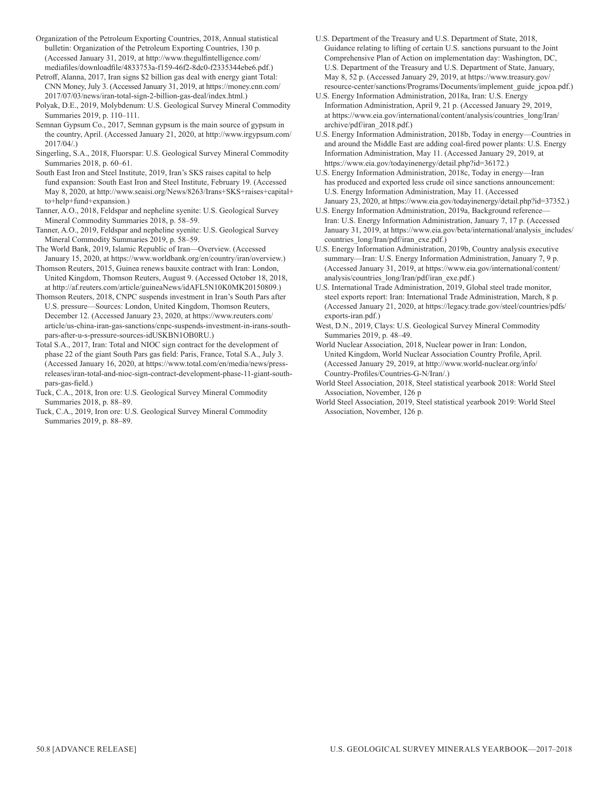Organization of the Petroleum Exporting Countries, 2018, Annual statistical bulletin: Organization of the Petroleum Exporting Countries, 130 p. (Accessed January 31, 2019, at http://www.thegulfintelligence.com/ mediafiles/downloadfile/4833753a-f159-46f2-8dc0-f2335344ebe6.pdf.)

Petroff, Alanna, 2017, Iran signs \$2 billion gas deal with energy giant Total: CNN Money, July 3. (Accessed January 31, 2019, at https://money.cnn.com/ 2017/07/03/news/iran-total-sign-2-billion-gas-deal/index.html.)

Polyak, D.E., 2019, Molybdenum: U.S. Geological Survey Mineral Commodity Summaries 2019, p. 110–111.

Semnan Gypsum Co., 2017, Semnan gypsum is the main source of gypsum in the country, April. (Accessed January 21, 2020, at http://www.irgypsum.com/ 2017/04/.)

Singerling, S.A., 2018, Fluorspar: U.S. Geological Survey Mineral Commodity Summaries 2018, p. 60–61.

South East Iron and Steel Institute, 2019, Iran's SKS raises capital to help fund expansion: South East Iron and Steel Institute, February 19. (Accessed May 8, 2020, at http://www.seaisi.org/News/8263/Irans+SKS+raises+capital+ to+help+fund+expansion.)

Tanner, A.O., 2018, Feldspar and nepheline syenite: U.S. Geological Survey Mineral Commodity Summaries 2018, p. 58–59.

Tanner, A.O., 2019, Feldspar and nepheline syenite: U.S. Geological Survey Mineral Commodity Summaries 2019, p. 58–59.

The World Bank, 2019, Islamic Republic of Iran—Overview. (Accessed January 15, 2020, at https://www.worldbank.org/en/country/iran/overview.) Thomson Reuters, 2015, Guinea renews bauxite contract with Iran: London,

United Kingdom, Thomson Reuters, August 9. (Accessed October 18, 2018, at http://af.reuters.com/article/guineaNews/idAFL5N10K0MK20150809.) Thomson Reuters, 2018, CNPC suspends investment in Iran's South Pars after

U.S. pressure—Sources: London, United Kingdom, Thomson Reuters, December 12. (Accessed January 23, 2020, at https://www.reuters.com/ article/us-china-iran-gas-sanctions/cnpc-suspends-investment-in-irans-southpars-after-u-s-pressure-sources-idUSKBN1OB0RU.)

Total S.A., 2017, Iran: Total and NIOC sign contract for the development of phase 22 of the giant South Pars gas field: Paris, France, Total S.A., July 3. (Accessed January 16, 2020, at https://www.total.com/en/media/news/pressreleases/iran-total-and-nioc-sign-contract-development-phase-11-giant-southpars-gas-field.)

Tuck, C.A., 2018, Iron ore: U.S. Geological Survey Mineral Commodity Summaries 2018, p. 88–89.

Tuck, C.A., 2019, Iron ore: U.S. Geological Survey Mineral Commodity Summaries 2019, p. 88–89.

U.S. Department of the Treasury and U.S. Department of State, 2018, Guidance relating to lifting of certain U.S. sanctions pursuant to the Joint Comprehensive Plan of Action on implementation day: Washington, DC, U.S. Department of the Treasury and U.S. Department of State, January, May 8, 52 p. (Accessed January 29, 2019, at https://www.treasury.gov/ resource-center/sanctions/Programs/Documents/implement\_guide\_jcpoa.pdf.)

U.S. Energy Information Administration, 2018a, Iran: U.S. Energy Information Administration, April 9, 21 p. (Accessed January 29, 2019, at https://www.eia.gov/international/content/analysis/countries\_long/Iran/ archive/pdf/iran\_2018.pdf.)

U.S. Energy Information Administration, 2018b, Today in energy—Countries in and around the Middle East are adding coal-fired power plants: U.S. Energy Information Administration, May 11. (Accessed January 29, 2019, at https://www.eia.gov/todayinenergy/detail.php?id=36172.)

U.S. Energy Information Administration, 2018c, Today in energy—Iran has produced and exported less crude oil since sanctions announcement: U.S. Energy Information Administration, May 11. (Accessed January 23, 2020, at https://www.eia.gov/todayinenergy/detail.php?id=37352.)

U.S. Energy Information Administration, 2019a, Background reference— Iran: U.S. Energy Information Administration, January 7, 17 p. (Accessed January 31, 2019, at https://www.eia.gov/beta/international/analysis\_includes/ countries\_long/Iran/pdf/iran\_exe.pdf.)

U.S. Energy Information Administration, 2019b, Country analysis executive summary—Iran: U.S. Energy Information Administration, January 7, 9 p. (Accessed January 31, 2019, at https://www.eia.gov/international/content/ analysis/countries\_long/Iran/pdf/iran\_exe.pdf.)

U.S. International Trade Administration, 2019, Global steel trade monitor, steel exports report: Iran: International Trade Administration, March, 8 p. (Accessed January 21, 2020, at https://legacy.trade.gov/steel/countries/pdfs/ exports-iran.pdf.)

West, D.N., 2019, Clays: U.S. Geological Survey Mineral Commodity Summaries 2019, p. 48–49.

World Nuclear Association, 2018, Nuclear power in Iran: London, United Kingdom, World Nuclear Association Country Profile, April. (Accessed January 29, 2019, at http://www.world-nuclear.org/info/ Country-Profiles/Countries-G-N/Iran/.)

World Steel Association, 2018, Steel statistical yearbook 2018: World Steel Association, November, 126 p

World Steel Association, 2019, Steel statistical yearbook 2019: World Steel Association, November, 126 p.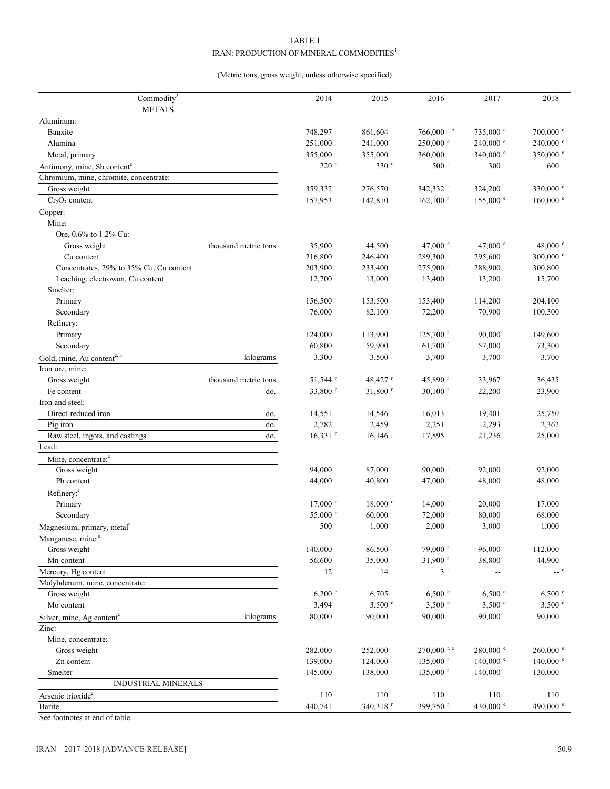# TABLE 1 IRAN: PRODUCTION OF MINERAL COMMODITIES $^{\rm l}$

# (Metric tons, gross weight, unless otherwise specified)

| Commodity $2$                                      | 2014                         | 2015                  | 2016                   | 2017                     | 2018                                                    |
|----------------------------------------------------|------------------------------|-----------------------|------------------------|--------------------------|---------------------------------------------------------|
| <b>METALS</b>                                      |                              |                       |                        |                          |                                                         |
| Aluminum:                                          |                              |                       |                        |                          |                                                         |
| Bauxite                                            | 748,297                      | 861,604               | $766,000$ r, e         | $735,000$ $\degree$      | $700,000$ e                                             |
| Alumina                                            | 251,000                      | 241,000               | 250,000 °              | $240,000$ $^{\circ}$     | 240,000 e                                               |
| Metal, primary                                     | 355,000                      | 355,000               | 360,000                | 340,000 $^{\circ}$       | 350,000 °                                               |
| Antimony, mine, Sb content <sup>e</sup>            | $220$ <sup>r</sup>           | 330 <sup>r</sup>      | $500$ r                | 300                      | 600                                                     |
| Chromium, mine, chromite, concentrate:             |                              |                       |                        |                          |                                                         |
| Gross weight                                       | 359,332                      | 276,570               | 342,332 r              | 324,200                  | 330,000 e                                               |
| $Cr_2O_3$ content                                  | 157,953                      | 142,810               | $162,100$ <sup>r</sup> | $155,000$ $\degree$      | $160,000$ $e$                                           |
| Copper:                                            |                              |                       |                        |                          |                                                         |
| Mine:                                              |                              |                       |                        |                          |                                                         |
| Ore, 0.6% to 1.2% Cu:                              |                              |                       |                        |                          |                                                         |
| Gross weight<br>thousand metric tons               | 35,900                       | 44,500                | 47,000 $^{\circ}$      | 47,000 $^{\circ}$        | 48,000 $^{\circ}$                                       |
| Cu content                                         | 216,800                      | 246,400               | 289,300                | 295,600                  | 300,000 e                                               |
| Concentrates, 29% to 35% Cu, Cu content            | 203,900                      | 233,400               | 275,900 r              | 288,900                  | 300,800                                                 |
| Leaching, electrowon, Cu content                   | 12,700                       | 13,000                | 13,400                 | 13,200                   | 15,700                                                  |
| Smelter:                                           |                              |                       |                        |                          |                                                         |
| Primary                                            | 156,500                      | 153,500               | 153,400                | 114,200                  | 204,100                                                 |
| Secondary                                          | 76,000                       | 82,100                | 72,200                 | 70,900                   | 100,300                                                 |
| Refinery:                                          |                              |                       |                        |                          |                                                         |
| Primary                                            | 124,000                      | 113,900               | $125,700$ <sup>r</sup> | 90,000                   | 149,600                                                 |
| Secondary                                          | 60,800                       | 59,900                | $61,700$ <sup>r</sup>  | 57,000                   | 73,300                                                  |
| Gold, mine, Au contente, 3<br>kilograms            | 3,300                        | 3,500                 | 3,700                  | 3,700                    | 3,700                                                   |
| Iron ore, mine:                                    |                              |                       |                        |                          |                                                         |
| thousand metric tons<br>Gross weight               | 51,544 <sup>r</sup>          | $48,427$ r            | 45,890 r               | 33,967                   | 36,435                                                  |
| Fe content                                         | 33,800 r<br>do.              | $31,800$ <sup>r</sup> | $30,100$ <sup>r</sup>  | 22,200                   | 23,900                                                  |
| Iron and steel:                                    |                              |                       |                        |                          |                                                         |
| Direct-reduced iron                                | do.<br>14,551                | 14,546                | 16,013                 | 19,401                   | 25,750                                                  |
| Pig iron                                           | do.<br>2,782                 | 2,459                 | 2,251                  | 2,293                    | 2,362                                                   |
| Raw steel, ingots, and castings                    | $16,331$ <sup>r</sup><br>do. | 16,146                | 17,895                 | 21,236                   | 25,000                                                  |
| Lead:                                              |                              |                       |                        |                          |                                                         |
| Mine, concentrate: <sup>e</sup>                    |                              |                       |                        |                          |                                                         |
| Gross weight                                       | 94,000                       | 87,000                | $90,000$ r             | 92,000                   | 92,000                                                  |
| Pb content                                         | 44,000                       | 40,800                | 47,000 $r$             | 48,000                   | 48,000                                                  |
| Refinery: <sup>e</sup>                             |                              |                       |                        |                          |                                                         |
| Primary                                            | $17,000$ <sup>r</sup>        | $18,000$ <sup>r</sup> | $14,000$ <sup>r</sup>  | 20,000                   | 17,000                                                  |
| Secondary                                          | 55,000 r                     | 60,000                | $72,000$ <sup>r</sup>  | 80,000                   | 68,000                                                  |
| Magnesium, primary, metal <sup>e</sup>             | 500                          | 1,000                 | 2,000                  | 3,000                    | 1,000                                                   |
| Manganese, mine: <sup>e</sup>                      |                              |                       |                        |                          |                                                         |
| Gross weight                                       | 140,000                      | 86,500                | 79,000 r               | 96,000                   | 112,000                                                 |
| Mn content                                         | 56,600                       | 35,000                | 31,900 r               | 38,800                   | 44,900                                                  |
| Mercury, Hg content                                | 12                           | 14                    | 3 <sup>r</sup>         | $\overline{\phantom{a}}$ | $\hspace{0.1cm}$ -- $\hspace{0.1cm}$ e $\hspace{0.1cm}$ |
| Molybdenum, mine, concentrate:                     |                              |                       |                        |                          |                                                         |
| Gross weight                                       | $6,200$ $\degree$            | 6,705                 | 6,500 °                | 6,500 °                  | 6,500 °                                                 |
| Mo content                                         | 3,494                        | 3,500 °               | 3,500 °                | 3,500 °                  | 3,500 °                                                 |
| kilograms<br>Silver, mine, Ag content <sup>e</sup> | 80,000                       | 90,000                | 90,000                 | 90,000                   | 90,000                                                  |
| Zinc:                                              |                              |                       |                        |                          |                                                         |
| Mine, concentrate:                                 |                              |                       |                        |                          |                                                         |
| Gross weight                                       | 282,000                      | 252,000               | $270,000$ r, e         | $280,000$ $\degree$      | $260,000$ $\degree$                                     |
| Zn content                                         | 139,000                      | 124,000               | 135,000 r              | $140,000$ $\degree$      | $140,000$ <sup>e</sup>                                  |
| Smelter                                            | 145,000                      | 138,000               | $135,000$ <sup>r</sup> | 140,000                  | 130,000                                                 |
| INDUSTRIAL MINERALS                                |                              |                       |                        |                          |                                                         |
| Arsenic trioxide <sup>e</sup>                      | 110                          | 110                   | 110                    | 110                      | 110                                                     |
| Barite                                             | 440,741                      | 340,318 <sup>r</sup>  | 399,750 r              | 430,000 $^{\circ}$       | 490,000 c                                               |
|                                                    |                              |                       |                        |                          |                                                         |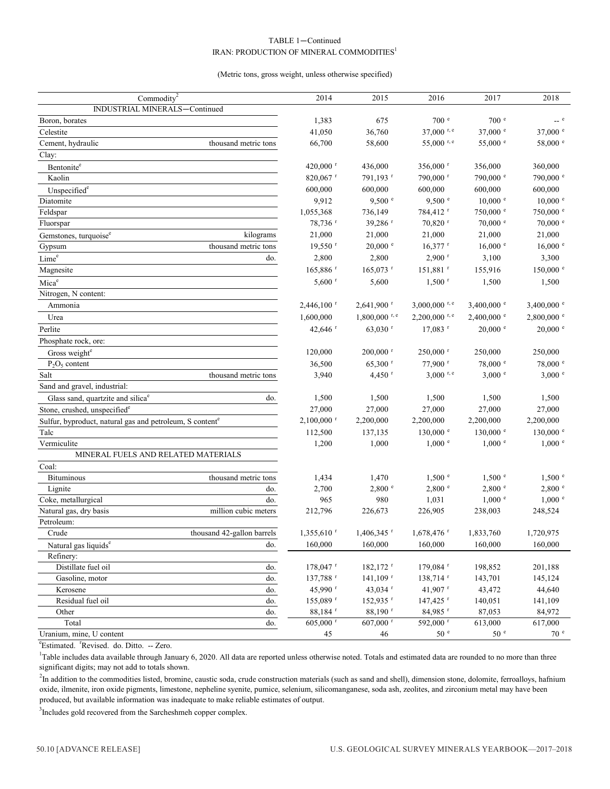# TABLE 1—Continued IRAN: PRODUCTION OF MINERAL COMMODITIES<sup>1</sup>

#### (Metric tons, gross weight, unless otherwise specified)

| Commodity <sup>2</sup>                                               | 2014                     | 2015                        | 2016                        | 2017                 | 2018                 |
|----------------------------------------------------------------------|--------------------------|-----------------------------|-----------------------------|----------------------|----------------------|
| INDUSTRIAL MINERALS-Continued                                        |                          |                             |                             |                      |                      |
| Boron, borates                                                       | 1,383                    | 675                         | 700 <sup>e</sup>            | 700 e                | $\sim$ e             |
| Celestite                                                            | 41,050                   | 36,760                      | 37,000 r, e                 | 37,000 $^{\circ}$    | 37,000 e             |
| Cement, hydraulic<br>thousand metric tons                            | 66,700                   | 58,600                      | 55,000 r, e                 | 55,000 °             | 58,000 °             |
| Clay:                                                                |                          |                             |                             |                      |                      |
| Bentonite <sup>e</sup>                                               | 420,000 $r$              | 436,000                     | 356,000 r                   | 356,000              | 360,000              |
| Kaolin                                                               | 820,067 $r$              | 791,193 <sup>r</sup>        | 790,000 r                   | 790,000 °            | 790,000 °            |
| Unspecified <sup>e</sup>                                             | 600,000                  | 600,000                     | 600,000                     | 600,000              | 600,000              |
| Diatomite                                                            | 9,912                    | 9,500 °                     | 9,500 °                     | $10,000$ $\degree$   | $10,000$ $e$         |
| Feldspar                                                             | 1,055,368                | 736,149                     | 784,412 <sup>r</sup>        | 750,000 °            | 750,000 °            |
| Fluorspar                                                            | 78,736 <sup>r</sup>      | 39,286 <sup>r</sup>         | 70,820 r                    | $70,000$ $\degree$   | $70,000$ $\degree$   |
| kilograms<br>Gemstones, turquoise <sup>e</sup>                       | 21,000                   | 21,000                      | 21,000                      | 21,000               | 21,000               |
| thousand metric tons<br>Gypsum                                       | $19,550$ <sup>r</sup>    | $20,000$ $^{\circ}$         | $16,377$ <sup>r</sup>       | $16,000$ $\degree$   | $16,000$ $\degree$   |
| Lime <sup>e</sup><br>do.                                             | 2,800                    | 2,800                       | $2,900$ <sup>r</sup>        | 3,100                | 3,300                |
| Magnesite                                                            | $165,886$ <sup>r</sup>   | $165,073$ <sup>r</sup>      | 151,881 <sup>r</sup>        | 155,916              | $150,000$ e          |
| $\mathrm{Mica}^\mathrm{e}$                                           | $5,600$ <sup>r</sup>     | 5,600                       | $1,500$ <sup>r</sup>        | 1,500                | 1,500                |
| Nitrogen, N content:                                                 |                          |                             |                             |                      |                      |
| Ammonia                                                              | $2,446,100$ <sup>r</sup> | $2,641,900$ <sup>r</sup>    | $3,000,000$ <sup>r, e</sup> | 3,400,000 $^{\circ}$ | 3,400,000 $^{\circ}$ |
| Urea                                                                 | 1,600,000                | $1,800,000$ <sup>r, e</sup> | $2,200,000$ <sup>r, e</sup> | $2,400,000$ e        | $2,800,000$ e        |
| Perlite                                                              | 42,646 $r$               | $63,030$ <sup>r</sup>       | $17,083$ <sup>r</sup>       | $20,000$ $\degree$   | $20,000$ $\degree$   |
| Phosphate rock, ore:                                                 |                          |                             |                             |                      |                      |
| Gross weight <sup>e</sup>                                            | 120,000                  | $200,000$ <sup>r</sup>      | $250,000$ <sup>r</sup>      | 250,000              | 250,000              |
| $P_2O_5$ content                                                     | 36,500                   | $65,300$ <sup>r</sup>       | 77,900 r                    | 78,000 °             | 78,000 °             |
| Salt<br>thousand metric tons                                         | 3,940                    | $4,450$ <sup>r</sup>        | $3,000$ r, e                | 3,000 °              | 3,000 °              |
| Sand and gravel, industrial:                                         |                          |                             |                             |                      |                      |
| do.<br>Glass sand, quartzite and silica <sup>e</sup>                 | 1,500                    | 1,500                       | 1,500                       | 1,500                | 1,500                |
| Stone, crushed, unspecified <sup>e</sup>                             | 27,000                   | 27,000                      | 27,000                      | 27,000               | 27,000               |
| Sulfur, byproduct, natural gas and petroleum, S content <sup>e</sup> | $2,100,000$ <sup>r</sup> | 2,200,000                   | 2,200,000                   | 2,200,000            | 2,200,000            |
| Talc                                                                 | 112,500                  | 137,135                     | $130,000$ e                 | 130,000 °            | $130,000$ $\degree$  |
| Vermiculite                                                          | 1,200                    | 1,000                       | $1,000$ $e$                 | $1,000$ $\degree$    | $1,000$ $\degree$    |
| MINERAL FUELS AND RELATED MATERIALS                                  |                          |                             |                             |                      |                      |
| Coal:                                                                |                          |                             |                             |                      |                      |
| <b>Bituminous</b><br>thousand metric tons                            | 1,434                    | 1,470                       | $1,500$ $\degree$           | 1,500 °              | 1,500 °              |
| Lignite<br>do.                                                       | 2,700                    | 2,800 °                     | 2,800 °                     | 2,800 °              | 2,800 °              |
| Coke, metallurgical<br>do.                                           | 965                      | 980                         | 1,031                       | $1,000$ $^{\circ}$   | 1,000 °              |
| million cubic meters<br>Natural gas, dry basis                       | 212,796                  | 226,673                     | 226,905                     | 238,003              | 248,524              |
| Petroleum:                                                           |                          |                             |                             |                      |                      |
| thousand 42-gallon barrels<br>Crude                                  | $1,355,610$ <sup>r</sup> | $1,406,345$ <sup>r</sup>    | $1,678,476$ <sup>r</sup>    | 1,833,760            | 1,720,975            |
| do.<br>Natural gas liquids <sup>e</sup>                              | 160,000                  | 160,000                     | 160,000                     | 160,000              | 160,000              |
| Refinery:                                                            |                          |                             |                             |                      |                      |
| Distillate fuel oil<br>do.                                           | 178,047 r                | $182, 172$ <sup>r</sup>     | $179,084$ <sup>r</sup>      | 198,852              | 201,188              |
| Gasoline, motor<br>do.                                               | 137,788 r                | $141, 109$ <sup>r</sup>     | $138,714$ <sup>r</sup>      | 143,701              | 145,124              |
| Kerosene<br>do.                                                      | 45,990 <sup>r</sup>      | 43,034 $r$                  | 41,907 $^{r}$               | 43,472               | 44,640               |
| Residual fuel oil<br>do.                                             | 155,089 r                | 152,935 r                   | 147,425 <sup>r</sup>        | 140,051              | 141,109              |
| Other<br>do.                                                         | 88,184 <sup>r</sup>      | 88,190 <sup>r</sup>         | 84,985 $r$                  | 87,053               | 84,972               |
| Total<br>do.                                                         | $605,000$ <sup>r</sup>   | $607,000$ <sup>r</sup>      | 592,000 r                   | 613,000              | 617,000              |
| Uranium, mine, U content                                             | 45                       | 46                          | 50 <sup>e</sup>             | 50 <sup>e</sup>      | 70 <sup>°</sup>      |

<sup>e</sup>Estimated. <sup>r</sup>Revised. do. Ditto. -- Zero.

<sup>1</sup>Table includes data available through January 6, 2020. All data are reported unless otherwise noted. Totals and estimated data are rounded to no more than three significant digits; may not add to totals shown.

 ${}^{2}$ In addition to the commodities listed, bromine, caustic soda, crude construction materials (such as sand and shell), dimension stone, dolomite, ferroalloys, hafnium oxide, ilmenite, iron oxide pigments, limestone, nepheline syenite, pumice, selenium, silicomanganese, soda ash, zeolites, and zirconium metal may have been produced, but available information was inadequate to make reliable estimates of output.

<sup>3</sup>Includes gold recovered from the Sarcheshmeh copper complex.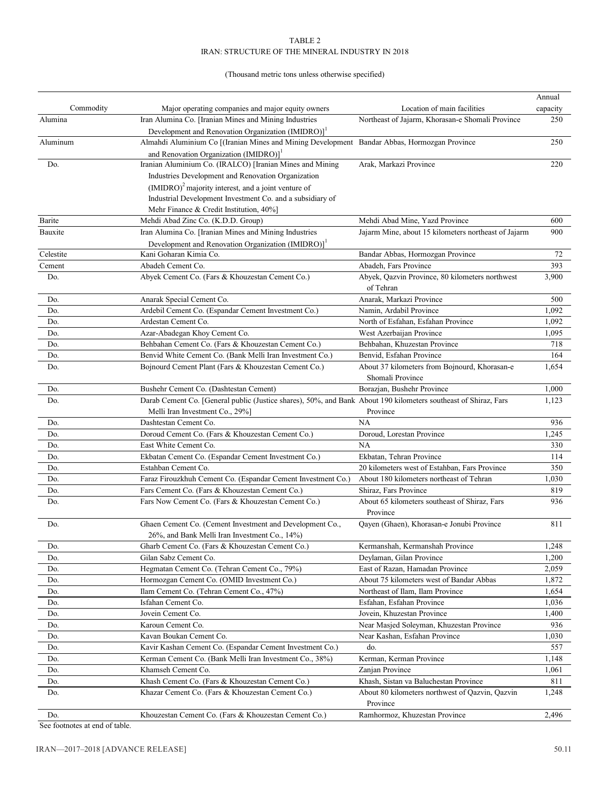# (Thousand metric tons unless otherwise specified)

|            |                                                                                                                 |                                                      | Annual   |
|------------|-----------------------------------------------------------------------------------------------------------------|------------------------------------------------------|----------|
| Commodity  | Major operating companies and major equity owners                                                               | Location of main facilities                          | capacity |
| Alumina    | Iran Alumina Co. [Iranian Mines and Mining Industries                                                           | Northeast of Jajarm, Khorasan-e Shomali Province     | 250      |
|            | Development and Renovation Organization (IMIDRO)] <sup>1</sup>                                                  |                                                      |          |
| Aluminum   | Almahdi Aluminium Co [(Iranian Mines and Mining Development Bandar Abbas, Hormozgan Province                    |                                                      | 250      |
|            | and Renovation Organization (IMIDRO)] <sup>1</sup>                                                              |                                                      |          |
| Do.        | Iranian Aluminium Co. (IRALCO) [Iranian Mines and Mining                                                        | Arak, Markazi Province                               | 220      |
|            | Industries Development and Renovation Organization                                                              |                                                      |          |
|            | $(MIDRO)^2$ majority interest, and a joint venture of                                                           |                                                      |          |
|            | Industrial Development Investment Co. and a subsidiary of                                                       |                                                      |          |
|            | Mehr Finance & Credit Institution, 40%]                                                                         |                                                      |          |
| Barite     | Mehdi Abad Zinc Co. (K.D.D. Group)                                                                              | Mehdi Abad Mine, Yazd Province                       | 600      |
| Bauxite    | Iran Alumina Co. [Iranian Mines and Mining Industries                                                           | Jajarm Mine, about 15 kilometers northeast of Jajarm | 900      |
|            | Development and Renovation Organization (IMIDRO)] <sup>1</sup>                                                  |                                                      |          |
| Celestite  | Kani Goharan Kimia Co.                                                                                          | Bandar Abbas, Hormozgan Province                     | 72       |
| Cement     | Abadeh Cement Co.                                                                                               | Abadeh, Fars Province                                | 393      |
| Do.        | Abyek Cement Co. (Fars & Khouzestan Cement Co.)                                                                 | Abyek, Qazvin Province, 80 kilometers northwest      | 3,900    |
|            |                                                                                                                 | of Tehran                                            |          |
| Do.        | Anarak Special Cement Co.                                                                                       | Anarak, Markazi Province                             | 500      |
| Do.        | Ardebil Cement Co. (Espandar Cement Investment Co.)                                                             | Namin, Ardabil Province                              | 1,092    |
| Do.        | Ardestan Cement Co.                                                                                             | North of Esfahan, Esfahan Province                   | 1,092    |
| Do.        | Azar-Abadegan Khoy Cement Co.                                                                                   | West Azerbaijan Province                             | 1,095    |
| Do.        | Behbahan Cement Co. (Fars & Khouzestan Cement Co.)                                                              | Behbahan, Khuzestan Province                         | 718      |
| Do.        | Benvid White Cement Co. (Bank Melli Iran Investment Co.)                                                        | Benvid, Esfahan Province                             | 164      |
| Do.        | Bojnourd Cement Plant (Fars & Khouzestan Cement Co.)                                                            | About 37 kilometers from Bojnourd, Khorasan-e        | 1,654    |
|            |                                                                                                                 | Shomali Province                                     |          |
| Do.        | Bushehr Cement Co. (Dashtestan Cement)                                                                          | Borazjan, Bushehr Province                           | 1,000    |
| Do.        | Darab Cement Co. [General public (Justice shares), 50%, and Bank About 190 kilometers southeast of Shiraz, Fars |                                                      | 1,123    |
|            | Melli Iran Investment Co., 29%]                                                                                 | Province                                             |          |
| Do.        | Dashtestan Cement Co.                                                                                           | NA                                                   | 936      |
| Do.        | Doroud Cement Co. (Fars & Khouzestan Cement Co.)                                                                | Doroud, Lorestan Province                            | 1,245    |
| Do.        | East White Cement Co.                                                                                           | NA                                                   | 330      |
| Do.        | Ekbatan Cement Co. (Espandar Cement Investment Co.)                                                             | Ekbatan, Tehran Province                             | 114      |
| Do.        | Estahban Cement Co.                                                                                             | 20 kilometers west of Estahban, Fars Province        | 350      |
| Do.        | Faraz Firouzkhuh Cement Co. (Espandar Cement Investment Co.)                                                    | About 180 kilometers northeast of Tehran             | 1,030    |
| Do.        | Fars Cement Co. (Fars & Khouzestan Cement Co.)                                                                  | Shiraz, Fars Province                                | 819      |
| Do.        | Fars Now Cement Co. (Fars & Khouzestan Cement Co.)                                                              | About 65 kilometers southeast of Shiraz, Fars        | 936      |
|            |                                                                                                                 | Province                                             |          |
| Do.        | Ghaen Cement Co. (Cement Investment and Development Co.,                                                        | Qayen (Ghaen), Khorasan-e Jonubi Province            | 811      |
|            | 26%, and Bank Melli Iran Investment Co., 14%)                                                                   |                                                      |          |
|            | Gharb Cement Co. (Fars & Khouzestan Cement Co.)                                                                 | Kermanshah, Kermanshah Province                      | 1,248    |
| Do.<br>Do. | Gilan Sabz Cement Co.                                                                                           | Deylaman, Gilan Province                             | 1,200    |
|            |                                                                                                                 | East of Razan, Hamadan Province                      | 2,059    |
| Do.        | Hegmatan Cement Co. (Tehran Cement Co., 79%)                                                                    | About 75 kilometers west of Bandar Abbas             |          |
| Do.        | Hormozgan Cement Co. (OMID Investment Co.)                                                                      |                                                      | 1,872    |
| Do.        | Ilam Cement Co. (Tehran Cement Co., 47%)                                                                        | Northeast of Ilam, Ilam Province                     | 1,654    |
| Do.        | Isfahan Cement Co.                                                                                              | Esfahan, Esfahan Province                            | 1,036    |
| Do.        | Jovein Cement Co.                                                                                               | Jovein, Khuzestan Province                           | 1,400    |
| Do.        | Karoun Cement Co.                                                                                               | Near Masjed Soleyman, Khuzestan Province             | 936      |
| Do.        | Kavan Boukan Cement Co.                                                                                         | Near Kashan, Esfahan Province                        | 1,030    |
| Do.        | Kavir Kashan Cement Co. (Espandar Cement Investment Co.)                                                        | do.                                                  | 557      |
| Do.        | Kerman Cement Co. (Bank Melli Iran Investment Co., 38%)                                                         | Kerman, Kerman Province                              | 1,148    |
| Do.        | Khamseh Cement Co.                                                                                              | Zanjan Province                                      | 1,061    |
| Do.        | Khash Cement Co. (Fars & Khouzestan Cement Co.)                                                                 | Khash, Sistan va Baluchestan Province                | 811      |
| Do.        | Khazar Cement Co. (Fars & Khouzestan Cement Co.)                                                                | About 80 kilometers northwest of Qazvin, Qazvin      | 1,248    |
|            |                                                                                                                 | Province                                             |          |
| Do.        | Khouzestan Cement Co. (Fars & Khouzestan Cement Co.)                                                            | Ramhormoz, Khuzestan Province                        | 2,496    |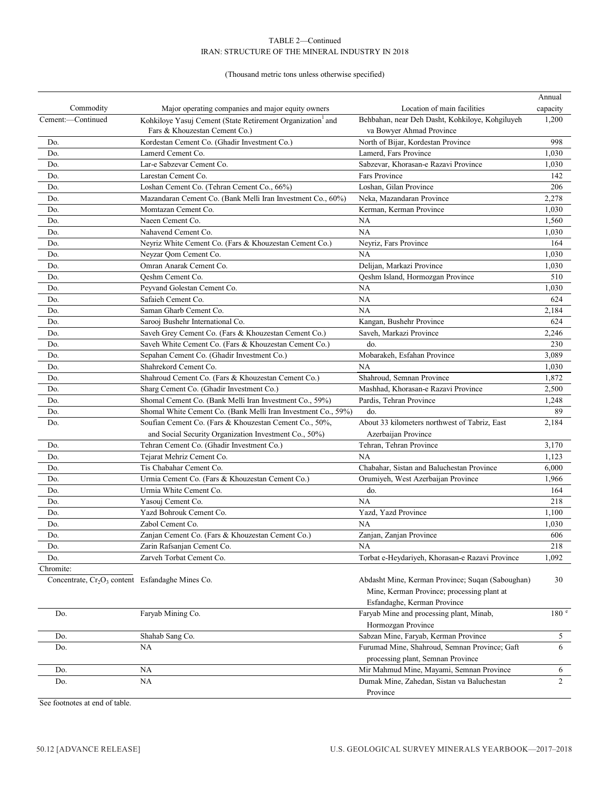# (Thousand metric tons unless otherwise specified)

|                                                                          |                                                               |                                                                | Annual           |
|--------------------------------------------------------------------------|---------------------------------------------------------------|----------------------------------------------------------------|------------------|
| Commodity                                                                | Major operating companies and major equity owners             | Location of main facilities                                    | capacity         |
| Cement:-Continued                                                        | Kohkiloye Yasuj Cement (State Retirement Organization and     | Behbahan, near Deh Dasht, Kohkiloye, Kohgiluyeh                | 1,200            |
|                                                                          | Fars & Khouzestan Cement Co.)                                 | va Bowyer Ahmad Province                                       |                  |
| Do.                                                                      | Kordestan Cement Co. (Ghadir Investment Co.)                  | North of Bijar, Kordestan Province                             | 998              |
| Do.                                                                      | Lamerd Cement Co.                                             | Lamerd, Fars Province                                          | 1,030            |
| Do.                                                                      | Lar-e Sabzevar Cement Co.                                     | Sabzevar, Khorasan-e Razavi Province                           | 1,030            |
| Do.                                                                      | Larestan Cement Co.                                           | Fars Province                                                  | 142              |
| Do.                                                                      | Loshan Cement Co. (Tehran Cement Co., 66%)                    | Loshan, Gilan Province                                         | 206              |
| Do.                                                                      | Mazandaran Cement Co. (Bank Melli Iran Investment Co., 60%)   | Neka, Mazandaran Province                                      | 2,278            |
| Do.                                                                      | Momtazan Cement Co.                                           | Kerman, Kerman Province                                        | 1,030            |
| Do.                                                                      | Naeen Cement Co.                                              | <b>NA</b>                                                      | 1,560            |
| Do.                                                                      | Nahavend Cement Co.                                           | <b>NA</b>                                                      | 1,030            |
| Do.                                                                      | Neyriz White Cement Co. (Fars & Khouzestan Cement Co.)        | Neyriz, Fars Province                                          | 164              |
| Do.                                                                      | Neyzar Qom Cement Co.                                         | NA                                                             | 1,030            |
| Do.                                                                      | Omran Anarak Cement Co.                                       | Delijan, Markazi Province                                      | 1,030            |
| Do.                                                                      | Oeshm Cement Co.                                              | Qeshm Island, Hormozgan Province                               | 510              |
| Do.                                                                      | Peyvand Golestan Cement Co.                                   | NA                                                             | 1,030            |
| Do.                                                                      | Safaieh Cement Co.                                            | NA                                                             | 624              |
| Do.                                                                      | Saman Gharb Cement Co.                                        | NA                                                             | 2,184            |
| Do.                                                                      | Sarooj Bushehr International Co.                              | Kangan, Bushehr Province                                       | 624              |
| Do.                                                                      | Saveh Grey Cement Co. (Fars & Khouzestan Cement Co.)          | Saveh, Markazi Province                                        | 2,246            |
| Do.                                                                      | Saveh White Cement Co. (Fars & Khouzestan Cement Co.)         | do.                                                            | 230              |
| Do.                                                                      | Sepahan Cement Co. (Ghadir Investment Co.)                    | Mobarakeh, Esfahan Province                                    | 3,089            |
| Do.                                                                      | Shahrekord Cement Co.                                         | NA                                                             | 1,030            |
| Do.                                                                      | Shahroud Cement Co. (Fars & Khouzestan Cement Co.)            | Shahroud, Semnan Province                                      | 1,872            |
| Do.                                                                      | Sharg Cement Co. (Ghadir Investment Co.)                      | Mashhad, Khorasan-e Razavi Province                            | 2,500            |
| Do.                                                                      | Shomal Cement Co. (Bank Melli Iran Investment Co., 59%)       | Pardis, Tehran Province                                        | 1,248            |
| Do.                                                                      | Shomal White Cement Co. (Bank Melli Iran Investment Co., 59%) | do.                                                            | 89               |
| Do.                                                                      | Soufian Cement Co. (Fars & Khouzestan Cement Co., 50%,        | About 33 kilometers northwest of Tabriz, East                  | 2,184            |
|                                                                          | and Social Security Organization Investment Co., 50%)         | Azerbaijan Province                                            |                  |
| Do.                                                                      | Tehran Cement Co. (Ghadir Investment Co.)                     | Tehran, Tehran Province                                        | 3,170            |
| Do.                                                                      | Tejarat Mehriz Cement Co.                                     | <b>NA</b>                                                      | 1,123            |
| Do.                                                                      | Tis Chabahar Cement Co.                                       | Chabahar, Sistan and Baluchestan Province                      | 6,000            |
| Do.                                                                      | Urmia Cement Co. (Fars & Khouzestan Cement Co.)               | Orumiyeh, West Azerbaijan Province                             | 1,966            |
| Do.                                                                      | Urmia White Cement Co.                                        | do.                                                            | 164              |
| Do.                                                                      | Yasouj Cement Co.                                             | NA                                                             | 218              |
| Do.                                                                      | Yazd Bohrouk Cement Co.                                       | Yazd, Yazd Province                                            | 1,100            |
| Do.                                                                      | Zabol Cement Co.                                              | NA                                                             | 1,030            |
| Do.                                                                      | Zanjan Cement Co. (Fars & Khouzestan Cement Co.)              | Zanjan, Zanjan Province                                        | 606              |
| Do.                                                                      | Zarin Rafsanjan Cement Co.                                    | NA                                                             | 218              |
| Do.                                                                      | Zarveh Torbat Cement Co.                                      | Torbat e-Heydariyeh, Khorasan-e Razavi Province                | 1,092            |
| Chromite:                                                                |                                                               |                                                                |                  |
| Concentrate, Cr <sub>2</sub> O <sub>3</sub> content Esfandaghe Mines Co. |                                                               | Abdasht Mine, Kerman Province; Suqan (Saboughan)               | 30               |
|                                                                          |                                                               | Mine, Kerman Province; processing plant at                     |                  |
|                                                                          |                                                               | Esfandaghe, Kerman Province                                    |                  |
| Do.                                                                      | Faryab Mining Co.                                             | Faryab Mine and processing plant, Minab,<br>Hormozgan Province | 180 <sup>e</sup> |
| Do.                                                                      | Shahab Sang Co.                                               | Sabzan Mine, Faryab, Kerman Province                           | 5                |
| Do.                                                                      | NA                                                            | Furumad Mine, Shahroud, Semnan Province; Gaft                  | 6                |
|                                                                          |                                                               | processing plant, Semnan Province                              |                  |
| Do.                                                                      | NA                                                            | Mir Mahmud Mine, Mayami, Semnan Province                       | 6                |
| Do.                                                                      | NA                                                            | Dumak Mine, Zahedan, Sistan va Baluchestan                     | 2                |
|                                                                          |                                                               | Province                                                       |                  |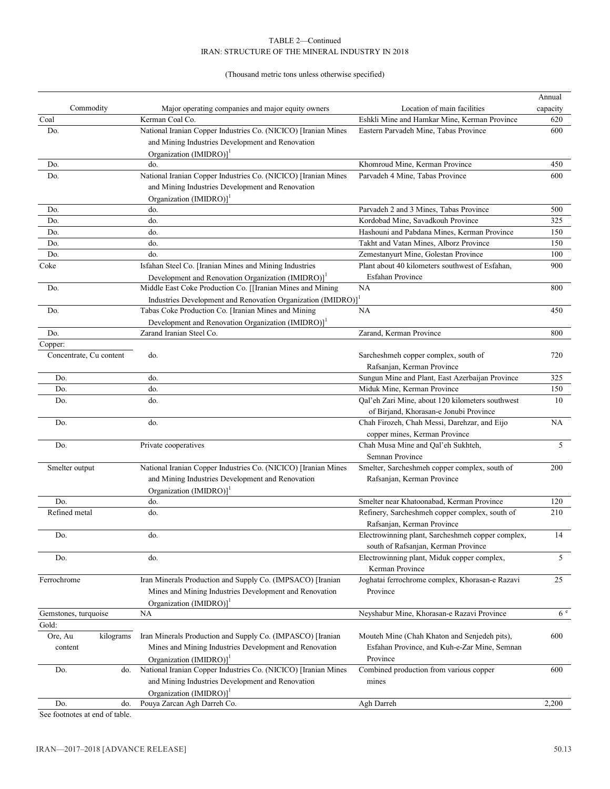# IRAN: STRUCTURE OF THE MINERAL INDUSTRY IN 2018 TABLE 2—Continued

# (Thousand metric tons unless otherwise specified)

|                         |           |                                                                                                                                  |                                                   | Annual   |
|-------------------------|-----------|----------------------------------------------------------------------------------------------------------------------------------|---------------------------------------------------|----------|
| Commodity               |           | Major operating companies and major equity owners                                                                                | Location of main facilities                       | capacity |
| Coal                    |           | Kerman Coal Co.                                                                                                                  | Eshkli Mine and Hamkar Mine, Kerman Province      | 620      |
| Do.                     |           | National Iranian Copper Industries Co. (NICICO) [Iranian Mines                                                                   | Eastern Parvadeh Mine, Tabas Province             | 600      |
|                         |           | and Mining Industries Development and Renovation                                                                                 |                                                   |          |
|                         |           | Organization $(IMIDRO)1$                                                                                                         |                                                   |          |
| Do.                     |           | do.                                                                                                                              | Khomroud Mine, Kerman Province                    | 450      |
| Do.                     |           | National Iranian Copper Industries Co. (NICICO) [Iranian Mines                                                                   | Parvadeh 4 Mine, Tabas Province                   | 600      |
|                         |           | and Mining Industries Development and Renovation                                                                                 |                                                   |          |
|                         |           | Organization (IMIDRO)] <sup>1</sup>                                                                                              |                                                   |          |
| Do.                     |           | do.                                                                                                                              | Parvadeh 2 and 3 Mines, Tabas Province            | 500      |
| Do.                     |           | do.                                                                                                                              | Kordobad Mine, Savadkouh Province                 | 325      |
| Do.                     |           | do.                                                                                                                              | Hashouni and Pabdana Mines, Kerman Province       | 150      |
| Do.                     |           | do.                                                                                                                              | Takht and Vatan Mines, Alborz Province            | 150      |
| Do.                     |           | do.                                                                                                                              | Zemestanyurt Mine, Golestan Province              | 100      |
| Coke                    |           | Isfahan Steel Co. [Iranian Mines and Mining Industries                                                                           | Plant about 40 kilometers southwest of Esfahan,   | 900      |
|                         |           |                                                                                                                                  | <b>Esfahan Province</b>                           |          |
| Do.                     |           | Development and Renovation Organization (IMIDRO)] <sup>1</sup><br>Middle East Coke Production Co. [[Iranian Mines and Mining     | NA                                                | 800      |
|                         |           |                                                                                                                                  |                                                   |          |
| Do.                     |           | Industries Development and Renovation Organization (IMIDRO)] <sup>1</sup><br>Tabas Coke Production Co. [Iranian Mines and Mining | NA                                                | 450      |
|                         |           |                                                                                                                                  |                                                   |          |
|                         |           | Development and Renovation Organization (IMIDRO)] <sup>1</sup>                                                                   |                                                   |          |
| Do.                     |           | Zarand Iranian Steel Co.                                                                                                         | Zarand, Kerman Province                           | 800      |
| Copper:                 |           |                                                                                                                                  |                                                   |          |
| Concentrate, Cu content |           | do.                                                                                                                              | Sarcheshmeh copper complex, south of              | 720      |
|                         |           |                                                                                                                                  | Rafsanjan, Kerman Province                        |          |
| Do.                     |           | do.                                                                                                                              | Sungun Mine and Plant, East Azerbaijan Province   | 325      |
| Do.                     |           | do.                                                                                                                              | Miduk Mine, Kerman Province                       | 150      |
| Do.                     |           | do.                                                                                                                              | Qal'eh Zari Mine, about 120 kilometers southwest  | 10       |
|                         |           |                                                                                                                                  | of Birjand, Khorasan-e Jonubi Province            |          |
| Do.                     |           | do.                                                                                                                              | Chah Firozeh, Chah Messi, Darehzar, and Eijo      | NA       |
|                         |           |                                                                                                                                  | copper mines, Kerman Province                     |          |
| Do.                     |           | Private cooperatives                                                                                                             | Chah Musa Mine and Qal'eh Sukhteh,                | 5        |
|                         |           |                                                                                                                                  | Semnan Province                                   |          |
| Smelter output          |           | National Iranian Copper Industries Co. (NICICO) [Iranian Mines                                                                   | Smelter, Sarcheshmeh copper complex, south of     | 200      |
|                         |           | and Mining Industries Development and Renovation                                                                                 | Rafsanjan, Kerman Province                        |          |
|                         |           | Organization $(IMIDRO)1$                                                                                                         |                                                   |          |
| Do.                     |           | do.                                                                                                                              | Smelter near Khatoonabad, Kerman Province         | 120      |
| Refined metal           |           | do.                                                                                                                              | Refinery, Sarcheshmeh copper complex, south of    | 210      |
|                         |           |                                                                                                                                  | Rafsanjan, Kerman Province                        |          |
| Do.                     |           | do.                                                                                                                              | Electrowinning plant, Sarcheshmeh copper complex, | 14       |
|                         |           |                                                                                                                                  | south of Rafsanjan, Kerman Province               |          |
| Do.                     |           | do.                                                                                                                              | Electrowinning plant, Miduk copper complex,       | 5        |
|                         |           |                                                                                                                                  | Kerman Province                                   |          |
| Ferrochrome             |           | Iran Minerals Production and Supply Co. (IMPSACO) [Iranian                                                                       | Joghatai ferrochrome complex, Khorasan-e Razavi   | 25       |
|                         |           | Mines and Mining Industries Development and Renovation                                                                           | Province                                          |          |
|                         |           |                                                                                                                                  |                                                   |          |
|                         |           | Organization (IMIDRO)] <sup>1</sup>                                                                                              |                                                   | 6e       |
| Gemstones, turquoise    |           | NA                                                                                                                               | Neyshabur Mine, Khorasan-e Razavi Province        |          |
| Gold:                   |           |                                                                                                                                  |                                                   |          |
| Ore, Au                 | kilograms | Iran Minerals Production and Supply Co. (IMPASCO) [Iranian                                                                       | Mouteh Mine (Chah Khaton and Senjedeh pits),      | 600      |
| content                 |           | Mines and Mining Industries Development and Renovation                                                                           | Esfahan Province, and Kuh-e-Zar Mine, Semnan      |          |
|                         |           | Organization (IMIDRO)] <sup>1</sup>                                                                                              | Province                                          |          |
| Do.                     | do.       | National Iranian Copper Industries Co. (NICICO) [Iranian Mines                                                                   | Combined production from various copper           | 600      |
|                         |           | and Mining Industries Development and Renovation                                                                                 | mines                                             |          |
|                         |           | Organization (IMIDRO)] <sup>1</sup>                                                                                              |                                                   |          |
| Do.                     | do.       | Pouya Zarcan Agh Darreh Co.                                                                                                      | Agh Darreh                                        | 2,200    |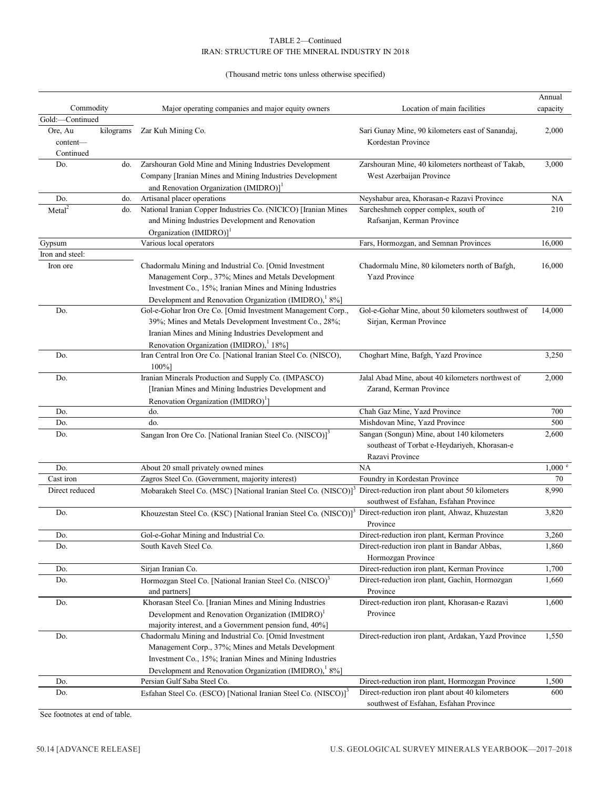# (Thousand metric tons unless otherwise specified)

|                   |           |                                                                                                                             |                                                                                           | Annual            |
|-------------------|-----------|-----------------------------------------------------------------------------------------------------------------------------|-------------------------------------------------------------------------------------------|-------------------|
| Commodity         |           | Major operating companies and major equity owners                                                                           | Location of main facilities                                                               | capacity          |
| Gold:-Continued   |           |                                                                                                                             |                                                                                           |                   |
| Ore, Au           | kilograms | Zar Kuh Mining Co.                                                                                                          | Sari Gunay Mine, 90 kilometers east of Sanandaj,                                          | 2,000             |
| content-          |           |                                                                                                                             | Kordestan Province                                                                        |                   |
| Continued         |           |                                                                                                                             |                                                                                           |                   |
| Do.               | do.       | Zarshouran Gold Mine and Mining Industries Development                                                                      | Zarshouran Mine, 40 kilometers northeast of Takab,                                        | 3,000             |
|                   |           | Company [Iranian Mines and Mining Industries Development                                                                    | West Azerbaijan Province                                                                  |                   |
|                   |           | and Renovation Organization (IMIDRO)] <sup>1</sup>                                                                          |                                                                                           |                   |
| Do.               | do.       | Artisanal placer operations                                                                                                 | Neyshabur area, Khorasan-e Razavi Province                                                | NA.               |
| Meta <sup>2</sup> | do.       | National Iranian Copper Industries Co. (NICICO) [Iranian Mines                                                              | Sarcheshmeh copper complex, south of                                                      | 210               |
|                   |           | and Mining Industries Development and Renovation                                                                            | Rafsanjan, Kerman Province                                                                |                   |
|                   |           | Organization $(IMIDRO)1$                                                                                                    |                                                                                           |                   |
| Gypsum            |           | Various local operators                                                                                                     | Fars, Hormozgan, and Semnan Provinces                                                     | 16,000            |
| Iron and steel:   |           |                                                                                                                             |                                                                                           |                   |
| Iron ore          |           | Chadormalu Mining and Industrial Co. [Omid Investment                                                                       | Chadormalu Mine, 80 kilometers north of Bafgh,                                            | 16,000            |
|                   |           | Management Corp., 37%; Mines and Metals Development                                                                         | <b>Yazd Province</b>                                                                      |                   |
|                   |           | Investment Co., 15%; Iranian Mines and Mining Industries                                                                    |                                                                                           |                   |
|                   |           | Development and Renovation Organization (IMIDRO), 8%]                                                                       |                                                                                           |                   |
| Do.               |           | Gol-e-Gohar Iron Ore Co. [Omid Investment Management Corp.,                                                                 | Gol-e-Gohar Mine, about 50 kilometers southwest of                                        | 14,000            |
|                   |           | 39%; Mines and Metals Development Investment Co., 28%;                                                                      | Sirjan, Kerman Province                                                                   |                   |
|                   |           | Iranian Mines and Mining Industries Development and                                                                         |                                                                                           |                   |
|                   |           | Renovation Organization (IMIDRO), <sup>1</sup> 18%]                                                                         |                                                                                           |                   |
| Do.               |           | Iran Central Iron Ore Co. [National Iranian Steel Co. (NISCO),                                                              | Choghart Mine, Bafgh, Yazd Province                                                       | 3,250             |
|                   |           | $100\%$ ]                                                                                                                   |                                                                                           |                   |
| Do.               |           | Iranian Minerals Production and Supply Co. (IMPASCO)                                                                        | Jalal Abad Mine, about 40 kilometers northwest of                                         | 2,000             |
|                   |           | [Iranian Mines and Mining Industries Development and                                                                        | Zarand, Kerman Province                                                                   |                   |
|                   |           | Renovation Organization (IMIDRO) <sup>1</sup> ]                                                                             |                                                                                           |                   |
| Do.               |           | do.                                                                                                                         | Chah Gaz Mine, Yazd Province                                                              | 700               |
| Do.               |           | do.                                                                                                                         | Mishdovan Mine, Yazd Province                                                             | 500               |
| Do.               |           | Sangan Iron Ore Co. [National Iranian Steel Co. (NISCO)] <sup>3</sup>                                                       | Sangan (Songun) Mine, about 140 kilometers                                                | 2,600             |
|                   |           |                                                                                                                             | southeast of Torbat e-Heydariyeh, Khorasan-e                                              |                   |
|                   |           |                                                                                                                             | Razavi Province                                                                           |                   |
| Do.               |           | About 20 small privately owned mines                                                                                        | NA                                                                                        | $1,000$ $\degree$ |
| Cast iron         |           | Zagros Steel Co. (Government, majority interest)                                                                            | Foundry in Kordestan Province                                                             | 70                |
| Direct reduced    |           | Mobarakeh Steel Co. (MSC) [National Iranian Steel Co. (NISCO)] <sup>3</sup> Direct-reduction iron plant about 50 kilometers |                                                                                           | 8,990             |
|                   |           |                                                                                                                             | southwest of Esfahan, Esfahan Province                                                    |                   |
| Do.               |           | Khouzestan Steel Co. (KSC) [National Iranian Steel Co. (NISCO)] <sup>3</sup> Direct-reduction iron plant, Ahwaz, Khuzestan  |                                                                                           | 3,820             |
|                   |           |                                                                                                                             | Province                                                                                  |                   |
| Do.               |           | Gol-e-Gohar Mining and Industrial Co.                                                                                       | Direct-reduction iron plant, Kerman Province                                              | 3,260             |
| Do.               |           | South Kaveh Steel Co.                                                                                                       | Direct-reduction iron plant in Bandar Abbas,<br>Hormozgan Province                        | 1,860             |
|                   |           |                                                                                                                             |                                                                                           | 1,700             |
| Do.               |           | Sirjan Iranian Co.                                                                                                          | Direct-reduction iron plant, Kerman Province                                              |                   |
| Do.               |           | Hormozgan Steel Co. [National Iranian Steel Co. (NISCO) <sup>3</sup>                                                        | Direct-reduction iron plant, Gachin, Hormozgan                                            | 1,660             |
|                   |           | and partners]                                                                                                               | Province<br>Direct-reduction iron plant, Khorasan-e Razavi                                |                   |
| Do.               |           | Khorasan Steel Co. [Iranian Mines and Mining Industries                                                                     |                                                                                           | 1,600             |
|                   |           | Development and Renovation Organization (IMIDRO) <sup>1</sup>                                                               | Province                                                                                  |                   |
|                   |           | majority interest, and a Government pension fund, 40%]<br>Chadormalu Mining and Industrial Co. [Omid Investment             | Direct-reduction iron plant, Ardakan, Yazd Province                                       |                   |
| Do.               |           |                                                                                                                             |                                                                                           | 1,550             |
|                   |           | Management Corp., 37%; Mines and Metals Development                                                                         |                                                                                           |                   |
|                   |           | Investment Co., 15%; Iranian Mines and Mining Industries                                                                    |                                                                                           |                   |
|                   |           | Development and Renovation Organization (IMIDRO), 8%]                                                                       |                                                                                           |                   |
| Do.               |           | Persian Gulf Saba Steel Co.                                                                                                 | Direct-reduction iron plant, Hormozgan Province                                           | 1,500             |
| Do.               |           | Esfahan Steel Co. (ESCO) [National Iranian Steel Co. (NISCO)] <sup>3</sup>                                                  | Direct-reduction iron plant about 40 kilometers<br>southwest of Esfahan, Esfahan Province | 600               |
|                   |           |                                                                                                                             |                                                                                           |                   |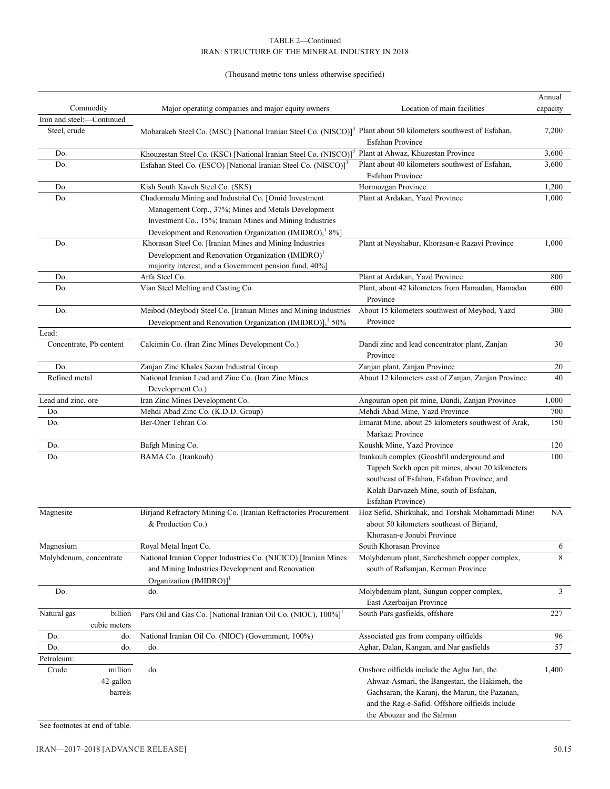# (Thousand metric tons unless otherwise specified)

|                         |                                 |                                                                                                                                                                                                                                   |                                                                                                                                                                                                                                  | Annual   |
|-------------------------|---------------------------------|-----------------------------------------------------------------------------------------------------------------------------------------------------------------------------------------------------------------------------------|----------------------------------------------------------------------------------------------------------------------------------------------------------------------------------------------------------------------------------|----------|
| Commodity               |                                 | Major operating companies and major equity owners                                                                                                                                                                                 | Location of main facilities                                                                                                                                                                                                      | capacity |
| Iron and steel:-        | -Continued                      |                                                                                                                                                                                                                                   |                                                                                                                                                                                                                                  |          |
| Steel, crude            |                                 | Mobarakeh Steel Co. (MSC) [National Iranian Steel Co. (NISCO)] <sup>3</sup> Plant about 50 kilometers southwest of Esfahan,                                                                                                       | <b>Esfahan Province</b>                                                                                                                                                                                                          | 7,200    |
| Do.                     |                                 | Khouzestan Steel Co. (KSC) [National Iranian Steel Co. (NISCO)] <sup>3</sup>                                                                                                                                                      | Plant at Ahwaz, Khuzestan Province                                                                                                                                                                                               | 3,600    |
| Do.                     |                                 | Esfahan Steel Co. (ESCO) [National Iranian Steel Co. (NISCO)] <sup>3</sup>                                                                                                                                                        | Plant about 40 kilometers southwest of Esfahan,<br>Esfahan Province                                                                                                                                                              | 3,600    |
| Do.                     |                                 | Kish South Kaveh Steel Co. (SKS)                                                                                                                                                                                                  | Hormozgan Province                                                                                                                                                                                                               | 1,200    |
| Do.                     |                                 | Chadormalu Mining and Industrial Co. [Omid Investment<br>Management Corp., 37%; Mines and Metals Development<br>Investment Co., 15%; Iranian Mines and Mining Industries<br>Development and Renovation Organization (IMIDRO), 8%] | Plant at Ardakan, Yazd Province                                                                                                                                                                                                  | 1,000    |
| Do.                     |                                 | Khorasan Steel Co. [Iranian Mines and Mining Industries<br>Development and Renovation Organization (IMIDRO) <sup>1</sup><br>majority interest, and a Government pension fund, 40%]                                                | Plant at Neyshabur, Khorasan-e Razavi Province                                                                                                                                                                                   | 1,000    |
| Do.                     |                                 | Arfa Steel Co.                                                                                                                                                                                                                    | Plant at Ardakan, Yazd Province                                                                                                                                                                                                  | 800      |
| Do.                     |                                 | Vian Steel Melting and Casting Co.                                                                                                                                                                                                | Plant, about 42 kilometers from Hamadan, Hamadan                                                                                                                                                                                 | 600      |
|                         |                                 |                                                                                                                                                                                                                                   | Province                                                                                                                                                                                                                         |          |
| Do.                     |                                 | Meibod (Meybod) Steel Co. [Iranian Mines and Mining Industries<br>Development and Renovation Organization (IMIDRO)], <sup>1</sup> 50%                                                                                             | About 15 kilometers southwest of Meybod, Yazd<br>Province                                                                                                                                                                        | 300      |
| Lead:                   |                                 |                                                                                                                                                                                                                                   |                                                                                                                                                                                                                                  |          |
| Concentrate, Pb content |                                 | Calcimin Co. (Iran Zinc Mines Development Co.)                                                                                                                                                                                    | Dandi zinc and lead concentrator plant, Zanjan<br>Province                                                                                                                                                                       | 30       |
| Do.                     |                                 | Zanjan Zinc Khales Sazan Industrial Group                                                                                                                                                                                         | Zanjan plant, Zanjan Province                                                                                                                                                                                                    | 20       |
| Refined metal           |                                 | National Iranian Lead and Zinc Co. (Iran Zinc Mines<br>Development Co.)                                                                                                                                                           | About 12 kilometers east of Zanjan, Zanjan Province                                                                                                                                                                              | 40       |
| Lead and zinc, ore      |                                 | Iran Zinc Mines Development Co.                                                                                                                                                                                                   | Angouran open pit mine, Dandi, Zanjan Province                                                                                                                                                                                   | 1,000    |
| Do.                     |                                 | Mehdi Abad Zinc Co. (K.D.D. Group)                                                                                                                                                                                                | Mehdi Abad Mine, Yazd Province                                                                                                                                                                                                   | 700      |
| Do.                     |                                 | Ber-Oner Tehran Co.                                                                                                                                                                                                               | Emarat Mine, about 25 kilometers southwest of Arak,<br>Markazi Province                                                                                                                                                          | 150      |
| Do.                     |                                 | Bafgh Mining Co.                                                                                                                                                                                                                  | Koushk Mine, Yazd Province                                                                                                                                                                                                       | 120      |
| Do.                     |                                 | BAMA Co. (Irankouh)                                                                                                                                                                                                               | Irankouh complex (Gooshfil underground and<br>Tappeh Sorkh open pit mines, about 20 kilometers<br>southeast of Esfahan, Esfahan Province, and<br>Kolah Darvazeh Mine, south of Esfahan,<br>Esfahan Province)                     | 100      |
| Magnesite               |                                 | Birjand Refractory Mining Co. (Iranian Refractories Procurement<br>& Production Co.)                                                                                                                                              | Hoz Sefid, Shirkuhak, and Torshak Mohammadi Mines<br>about 50 kilometers southeast of Birjand,<br>Khorasan-e Jonubi Province                                                                                                     | NA       |
| Magnesium               |                                 | Royal Metal Ingot Co.                                                                                                                                                                                                             | South Khorasan Province                                                                                                                                                                                                          | 6        |
| Molybdenum, concentrate |                                 | National Iranian Copper Industries Co. (NICICO) [Iranian Mines<br>and Mining Industries Development and Renovation<br>Organization $(IMIDRO)1$                                                                                    | Molybdenum plant, Sarcheshmeh copper complex,<br>south of Rafsanjan, Kerman Province                                                                                                                                             | 8        |
| Do.                     |                                 | do.                                                                                                                                                                                                                               | Molybdenum plant, Sungun copper complex,<br>East Azerbaijan Province                                                                                                                                                             | 3        |
| Natural gas             | billion<br>cubic meters         | Pars Oil and Gas Co. [National Iranian Oil Co. (NIOC), 100%] <sup>1</sup>                                                                                                                                                         | South Pars gasfields, offshore                                                                                                                                                                                                   | 227      |
| Do.                     | do.                             | National Iranian Oil Co. (NIOC) (Government, 100%)                                                                                                                                                                                | Associated gas from company oilfields                                                                                                                                                                                            | 96       |
| Do.                     | do.                             | do.                                                                                                                                                                                                                               | Aghar, Dalan, Kangan, and Nar gasfields                                                                                                                                                                                          | 57       |
| Petroleum:              |                                 |                                                                                                                                                                                                                                   |                                                                                                                                                                                                                                  |          |
| Crude                   | million<br>42-gallon<br>barrels | do.                                                                                                                                                                                                                               | Onshore oilfields include the Agha Jari, the<br>Ahwaz-Asmari, the Bangestan, the Hakimeh, the<br>Gachsaran, the Karanj, the Marun, the Pazanan,<br>and the Rag-e-Safid. Offshore oilfields include<br>the Abouzar and the Salman | 1,400    |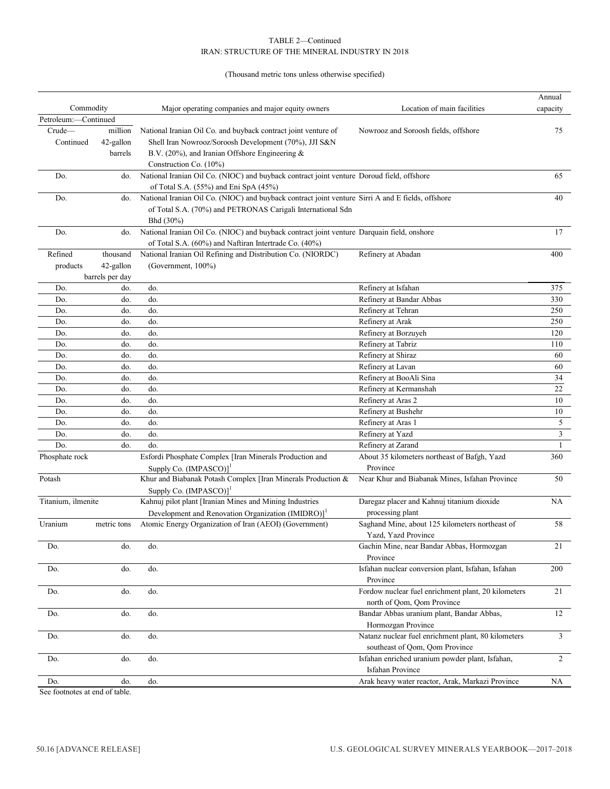# (Thousand metric tons unless otherwise specified)

|                      |                 |                                                                                                   |                                                     | Annual         |
|----------------------|-----------------|---------------------------------------------------------------------------------------------------|-----------------------------------------------------|----------------|
| Commodity            |                 | Major operating companies and major equity owners                                                 | Location of main facilities                         | capacity       |
| Petroleum:-Continued |                 |                                                                                                   |                                                     |                |
| Crude-               | million         | National Iranian Oil Co. and buyback contract joint venture of                                    | Nowrooz and Soroosh fields, offshore                | 75             |
| Continued            | 42-gallon       | Shell Iran Nowrooz/Soroosh Development (70%), JJI S&N                                             |                                                     |                |
|                      | barrels         | B.V. (20%), and Iranian Offshore Engineering &                                                    |                                                     |                |
|                      |                 | Construction Co. (10%)                                                                            |                                                     |                |
| Do.                  | do.             | National Iranian Oil Co. (NIOC) and buyback contract joint venture Doroud field, offshore         |                                                     | 65             |
|                      |                 | of Total S.A. (55%) and Eni SpA (45%)                                                             |                                                     |                |
| Do.                  | do.             | National Iranian Oil Co. (NIOC) and buyback contract joint venture Sirri A and E fields, offshore |                                                     | 40             |
|                      |                 | of Total S.A. (70%) and PETRONAS Carigali International Sdn                                       |                                                     |                |
|                      |                 | Bhd (30%)                                                                                         |                                                     |                |
| Do.                  | do.             | National Iranian Oil Co. (NIOC) and buyback contract joint venture Darquain field, onshore        |                                                     | 17             |
|                      |                 | of Total S.A. (60%) and Naftiran Intertrade Co. (40%)                                             |                                                     |                |
| Refined              | thousand        | National Iranian Oil Refining and Distribution Co. (NIORDC)                                       | Refinery at Abadan                                  | 400            |
| products             | 42-gallon       | (Government, 100%)                                                                                |                                                     |                |
|                      | barrels per day |                                                                                                   |                                                     |                |
| Do.                  | do.             | do.                                                                                               | Refinery at Isfahan                                 | 375            |
| Do.                  | do.             | do.                                                                                               | Refinery at Bandar Abbas                            | 330            |
| Do.                  | do.             | do.                                                                                               | Refinery at Tehran                                  | 250            |
| Do.                  | do.             | do.                                                                                               | Refinery at Arak                                    | 250            |
| Do.                  | do.             | do.                                                                                               | Refinery at Borzuyeh                                | 120            |
|                      | do.             | do.                                                                                               |                                                     |                |
| Do.                  |                 |                                                                                                   | Refinery at Tabriz                                  | 110            |
| Do.                  | do.             | do.                                                                                               | Refinery at Shiraz                                  | 60             |
| Do.                  | do.             | do.                                                                                               | Refinery at Lavan                                   | 60             |
| Do.                  | do.             | do.                                                                                               | Refinery at BooAli Sina                             | 34             |
| Do.                  | do.             | do.                                                                                               | Refinery at Kermanshah                              | 22             |
| Do.                  | do.             | do.                                                                                               | Refinery at Aras 2                                  | 10             |
| Do.                  | do.             | do.                                                                                               | Refinery at Bushehr                                 | 10             |
| Do.                  | do.             | do.                                                                                               | Refinery at Aras 1                                  | 5              |
| Do.                  | do.             | do.                                                                                               | Refinery at Yazd                                    | $\mathfrak{Z}$ |
| Do.                  | do.             | do.                                                                                               | Refinery at Zarand                                  | $\mathbf{1}$   |
| Phosphate rock       |                 | Esfordi Phosphate Complex [Iran Minerals Production and                                           | About 35 kilometers northeast of Bafgh, Yazd        | 360            |
|                      |                 | Supply Co. (IMPASCO)]                                                                             | Province                                            |                |
| Potash               |                 | Khur and Biabanak Potash Complex [Iran Minerals Production &                                      | Near Khur and Biabanak Mines, Isfahan Province      | 50             |
|                      |                 | Supply Co. (IMPASCO)] <sup>1</sup>                                                                |                                                     |                |
| Titanium, ilmenite   |                 | Kahnuj pilot plant [Iranian Mines and Mining Industries                                           | Daregaz placer and Kahnuj titanium dioxide          | NA             |
|                      |                 | Development and Renovation Organization (IMIDRO)] <sup>1</sup>                                    | processing plant                                    |                |
| Uranium              | metric tons     | Atomic Energy Organization of Iran (AEOI) (Government)                                            | Saghand Mine, about 125 kilometers northeast of     | 58             |
|                      |                 |                                                                                                   | Yazd, Yazd Province                                 |                |
| Do.                  | do.             | do.                                                                                               | Gachin Mine, near Bandar Abbas, Hormozgan           | 21             |
|                      |                 |                                                                                                   | Province                                            |                |
| Do.                  | do.             | do.                                                                                               | Isfahan nuclear conversion plant, Isfahan, Isfahan  | 200            |
|                      |                 |                                                                                                   | Province                                            |                |
| Do.                  | do.             | do.                                                                                               | Fordow nuclear fuel enrichment plant, 20 kilometers | 21             |
|                      |                 |                                                                                                   | north of Qom, Qom Province                          |                |
| Do.                  | do.             | do.                                                                                               | Bandar Abbas uranium plant, Bandar Abbas,           | 12             |
|                      |                 |                                                                                                   | Hormozgan Province                                  |                |
| Do.                  | do.             | do.                                                                                               | Natanz nuclear fuel enrichment plant, 80 kilometers | $\mathfrak{Z}$ |
|                      |                 |                                                                                                   | southeast of Qom, Qom Province                      |                |
| Do.                  | do.             | do.                                                                                               | Isfahan enriched uranium powder plant, Isfahan,     | $\overline{2}$ |
|                      |                 |                                                                                                   | <b>Isfahan Province</b>                             |                |
| Do.                  | do.             | do.                                                                                               | Arak heavy water reactor, Arak, Markazi Province    | NA             |